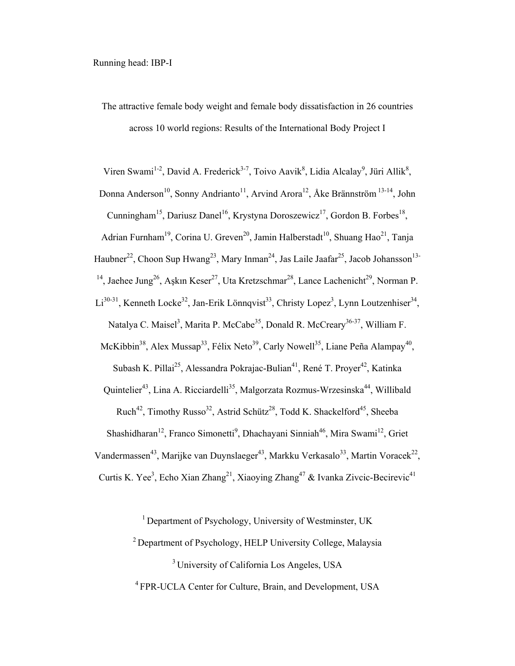The attractive female body weight and female body dissatisfaction in 26 countries across 10 world regions: Results of the International Body Project I

Viren Swami<sup>1-2</sup>, David A. Frederick<sup>3-7</sup>, Toivo Aavik<sup>8</sup>, Lidia Alcalay<sup>9</sup>, Jüri Allik<sup>8</sup>, Donna Anderson<sup>10</sup>, Sonny Andrianto<sup>11</sup>, Arvind Arora<sup>12</sup>, Åke Brännström<sup>13-14</sup>, John Cunningham<sup>15</sup>, Dariusz Danel<sup>16</sup>, Krystyna Doroszewicz<sup>17</sup>, Gordon B. Forbes<sup>18</sup>, Adrian Furnham<sup>19</sup>, Corina U. Greven<sup>20</sup>, Jamin Halberstadt<sup>10</sup>, Shuang Hao<sup>21</sup>, Tanja Haubner<sup>22</sup>, Choon Sup Hwang<sup>23</sup>, Mary Inman<sup>24</sup>, Jas Laile Jaafar<sup>25</sup>, Jacob Johansson<sup>13-1</sup> <sup>14</sup>, Jaehee Jung<sup>26</sup>, Aşkın Keser<sup>27</sup>, Uta Kretzschmar<sup>28</sup>, Lance Lachenicht<sup>29</sup>, Norman P.  $Li^{30-31}$ , Kenneth Locke<sup>32</sup>, Jan-Erik Lönnqvist<sup>33</sup>, Christy Lopez<sup>3</sup>, Lynn Loutzenhiser<sup>34</sup>, Natalya C. Maisel<sup>3</sup>, Marita P. McCabe<sup>35</sup>, Donald R. McCreary<sup>36-37</sup>, William F. McKibbin<sup>38</sup>, Alex Mussap<sup>33</sup>, Félix Neto<sup>39</sup>, Carly Nowell<sup>35</sup>, Liane Peña Alampay<sup>40</sup>,

Subash K. Pillai<sup>25</sup>, Alessandra Pokrajac-Bulian<sup>41</sup>, René T. Proyer<sup>42</sup>, Katinka

Quintelier<sup>43</sup>, Lina A. Ricciardelli<sup>35</sup>, Malgorzata Rozmus-Wrzesinska<sup>44</sup>, Willibald Ruch<sup>42</sup>, Timothy Russo<sup>32</sup>, Astrid Schütz<sup>28</sup>, Todd K. Shackelford<sup>45</sup>, Sheeba

Shashidharan<sup>12</sup>, Franco Simonetti<sup>9</sup>, Dhachayani Sinniah<sup>46</sup>, Mira Swami<sup>12</sup>, Griet

Vandermassen<sup>43</sup>, Marijke van Duynslaeger<sup>43</sup>, Markku Verkasalo<sup>33</sup>, Martin Voracek<sup>22</sup>,

Curtis K. Yee<sup>3</sup>, Echo Xian Zhang<sup>21</sup>, Xiaoying Zhang<sup>47</sup> & Ivanka Zivcic-Becirevic<sup>41</sup>

<sup>1</sup> Department of Psychology, University of Westminster, UK

2 Department of Psychology, HELP University College, Malaysia

<sup>3</sup> University of California Los Angeles, USA

4 FPR-UCLA Center for Culture, Brain, and Development, USA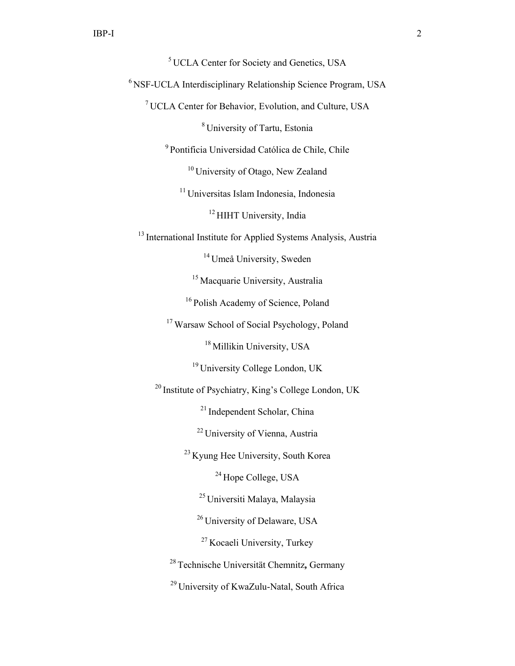# 5 UCLA Center for Society and Genetics, USA

6 NSF-UCLA Interdisciplinary Relationship Science Program, USA

7 UCLA Center for Behavior, Evolution, and Culture, USA

8 University of Tartu, Estonia

9 Pontificia Universidad Católica de Chile, Chile

<sup>10</sup> University of Otago, New Zealand

11 Universitas Islam Indonesia, Indonesia

<sup>12</sup> HIHT University, India

<sup>13</sup> International Institute for Applied Systems Analysis, Austria

<sup>14</sup> Umeå University, Sweden

15 Macquarie University, Australia

<sup>16</sup> Polish Academy of Science, Poland

<sup>17</sup> Warsaw School of Social Psychology, Poland

<sup>18</sup> Millikin University, USA

19 University College London, UK

20 Institute of Psychiatry, King's College London, UK

21 Independent Scholar, China

22 University of Vienna, Austria

23 Kyung Hee University, South Korea

<sup>24</sup> Hope College, USA

25 Universiti Malaya, Malaysia

<sup>26</sup> University of Delaware, USA

27 Kocaeli University, Turkey

28 Technische Universität Chemnitz**,** Germany

<sup>29</sup> University of KwaZulu-Natal, South Africa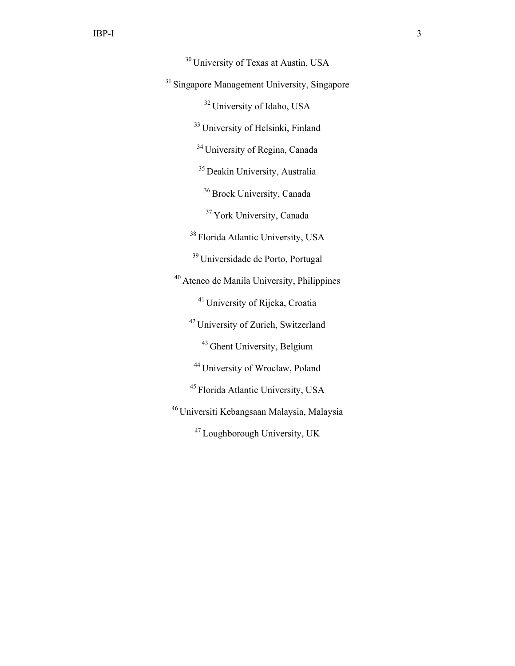30 University of Texas at Austin, USA <sup>31</sup> Singapore Management University, Singapore 32 University of Idaho, USA <sup>33</sup> University of Helsinki, Finland 34 University of Regina, Canada <sup>35</sup> Deakin University, Australia <sup>36</sup> Brock University, Canada <sup>37</sup> York University, Canada <sup>38</sup> Florida Atlantic University, USA 39 Universidade de Porto, Portugal 40 Ateneo de Manila University, Philippines 41 University of Rijeka, Croatia 42 University of Zurich, Switzerland 43 Ghent University, Belgium 44 University of Wroclaw, Poland 45 Florida Atlantic University, USA 46 Universiti Kebangsaan Malaysia, Malaysia 47 Loughborough University, UK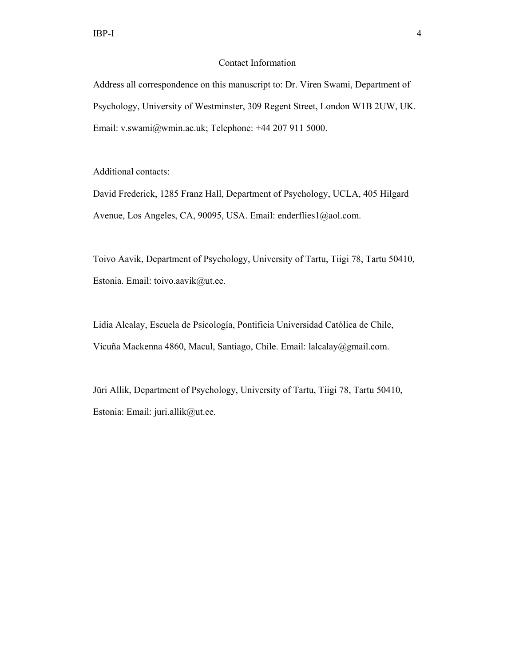# Contact Information

Address all correspondence on this manuscript to: Dr. Viren Swami, Department of Psychology, University of Westminster, 309 Regent Street, London W1B 2UW, UK. Email: v.swami@wmin.ac.uk; Telephone: +44 207 911 5000.

Additional contacts:

David Frederick, 1285 Franz Hall, Department of Psychology, UCLA, 405 Hilgard Avenue, Los Angeles, CA, 90095, USA. Email: enderflies1@aol.com.

Toivo Aavik, Department of Psychology, University of Tartu, Tiigi 78, Tartu 50410, Estonia. Email: toivo.aavik@ut.ee.

Lidia Alcalay, Escuela de Psicología, Pontificia Universidad Católica de Chile, Vicuña Mackenna 4860, Macul, Santiago, Chile. Email: lalcalay@gmail.com.

Jüri Allik, Department of Psychology, University of Tartu, Tiigi 78, Tartu 50410, Estonia: Email: juri.allik@ut.ee.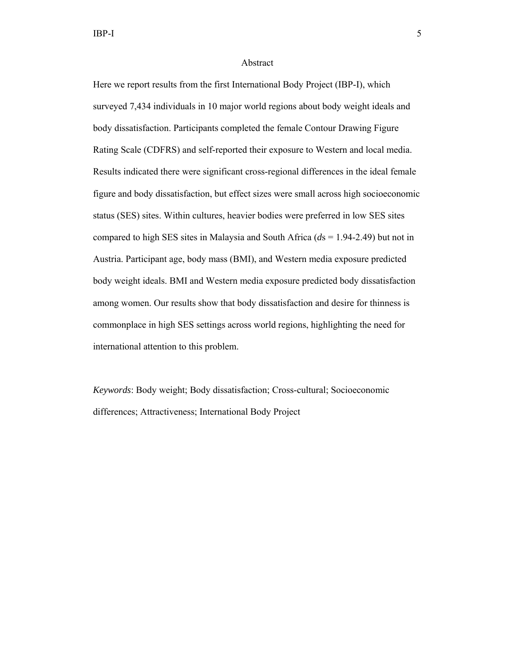## Abstract

Here we report results from the first International Body Project (IBP-I), which surveyed 7,434 individuals in 10 major world regions about body weight ideals and body dissatisfaction. Participants completed the female Contour Drawing Figure Rating Scale (CDFRS) and self-reported their exposure to Western and local media. Results indicated there were significant cross-regional differences in the ideal female figure and body dissatisfaction, but effect sizes were small across high socioeconomic status (SES) sites. Within cultures, heavier bodies were preferred in low SES sites compared to high SES sites in Malaysia and South Africa (*d*s = 1.94-2.49) but not in Austria. Participant age, body mass (BMI), and Western media exposure predicted body weight ideals. BMI and Western media exposure predicted body dissatisfaction among women. Our results show that body dissatisfaction and desire for thinness is commonplace in high SES settings across world regions, highlighting the need for international attention to this problem.

*Keywords*: Body weight; Body dissatisfaction; Cross-cultural; Socioeconomic differences; Attractiveness; International Body Project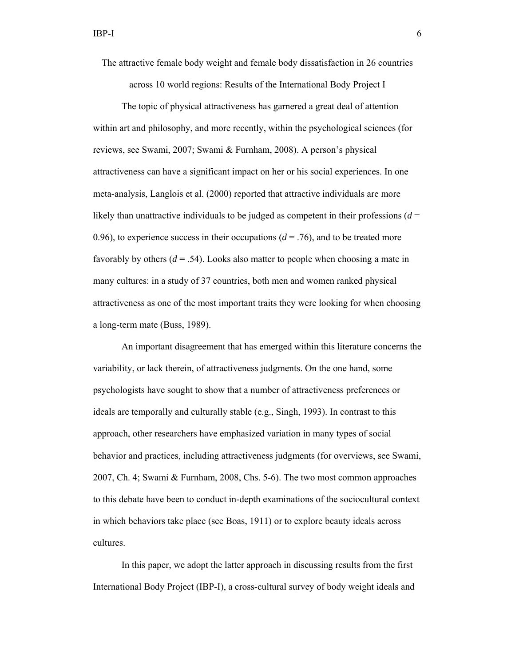The attractive female body weight and female body dissatisfaction in 26 countries

across 10 world regions: Results of the International Body Project I

The topic of physical attractiveness has garnered a great deal of attention within art and philosophy, and more recently, within the psychological sciences (for reviews, see Swami, 2007; Swami & Furnham, 2008). A person's physical attractiveness can have a significant impact on her or his social experiences. In one meta-analysis, Langlois et al. (2000) reported that attractive individuals are more likely than unattractive individuals to be judged as competent in their professions  $(d =$ 0.96), to experience success in their occupations  $(d = .76)$ , and to be treated more favorably by others  $(d = .54)$ . Looks also matter to people when choosing a mate in many cultures: in a study of 37 countries, both men and women ranked physical attractiveness as one of the most important traits they were looking for when choosing a long-term mate (Buss, 1989).

An important disagreement that has emerged within this literature concerns the variability, or lack therein, of attractiveness judgments. On the one hand, some psychologists have sought to show that a number of attractiveness preferences or ideals are temporally and culturally stable (e.g., Singh, 1993). In contrast to this approach, other researchers have emphasized variation in many types of social behavior and practices, including attractiveness judgments (for overviews, see Swami, 2007, Ch. 4; Swami & Furnham, 2008, Chs. 5-6). The two most common approaches to this debate have been to conduct in-depth examinations of the sociocultural context in which behaviors take place (see Boas, 1911) or to explore beauty ideals across cultures.

In this paper, we adopt the latter approach in discussing results from the first International Body Project (IBP-I), a cross-cultural survey of body weight ideals and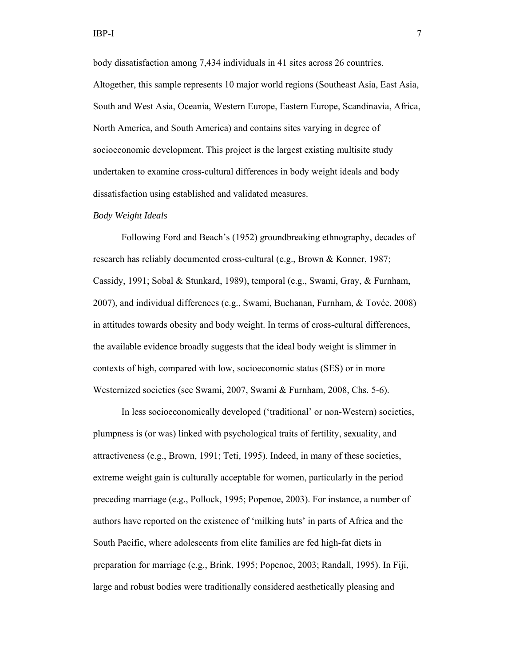body dissatisfaction among 7,434 individuals in 41 sites across 26 countries. Altogether, this sample represents 10 major world regions (Southeast Asia, East Asia, South and West Asia, Oceania, Western Europe, Eastern Europe, Scandinavia, Africa, North America, and South America) and contains sites varying in degree of socioeconomic development. This project is the largest existing multisite study undertaken to examine cross-cultural differences in body weight ideals and body dissatisfaction using established and validated measures.

#### *Body Weight Ideals*

Following Ford and Beach's (1952) groundbreaking ethnography, decades of research has reliably documented cross-cultural (e.g., Brown & Konner, 1987; Cassidy, 1991; Sobal & Stunkard, 1989), temporal (e.g., Swami, Gray, & Furnham, 2007), and individual differences (e.g., Swami, Buchanan, Furnham, & Tovée, 2008) in attitudes towards obesity and body weight. In terms of cross-cultural differences, the available evidence broadly suggests that the ideal body weight is slimmer in contexts of high, compared with low, socioeconomic status (SES) or in more Westernized societies (see Swami, 2007, Swami & Furnham, 2008, Chs. 5-6).

In less socioeconomically developed ('traditional' or non-Western) societies, plumpness is (or was) linked with psychological traits of fertility, sexuality, and attractiveness (e.g., Brown, 1991; Teti, 1995). Indeed, in many of these societies, extreme weight gain is culturally acceptable for women, particularly in the period preceding marriage (e.g., Pollock, 1995; Popenoe, 2003). For instance, a number of authors have reported on the existence of 'milking huts' in parts of Africa and the South Pacific, where adolescents from elite families are fed high-fat diets in preparation for marriage (e.g., Brink, 1995; Popenoe, 2003; Randall, 1995). In Fiji, large and robust bodies were traditionally considered aesthetically pleasing and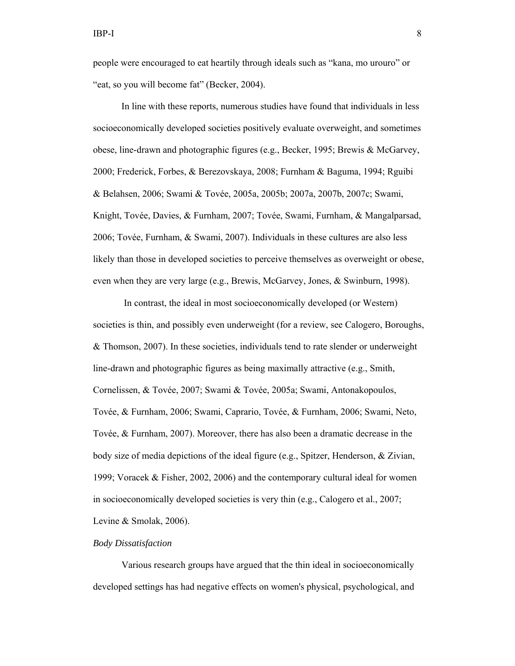people were encouraged to eat heartily through ideals such as "kana, mo urouro" or "eat, so you will become fat" (Becker, 2004).

In line with these reports, numerous studies have found that individuals in less socioeconomically developed societies positively evaluate overweight, and sometimes obese, line-drawn and photographic figures (e.g., Becker, 1995; Brewis & McGarvey, 2000; Frederick, Forbes, & Berezovskaya, 2008; Furnham & Baguma, 1994; Rguibi & Belahsen, 2006; Swami & Tovée, 2005a, 2005b; 2007a, 2007b, 2007c; Swami, Knight, Tovée, Davies, & Furnham, 2007; Tovée, Swami, Furnham, & Mangalparsad, 2006; Tovée, Furnham, & Swami, 2007). Individuals in these cultures are also less likely than those in developed societies to perceive themselves as overweight or obese, even when they are very large (e.g., Brewis, McGarvey, Jones, & Swinburn, 1998).

 In contrast, the ideal in most socioeconomically developed (or Western) societies is thin, and possibly even underweight (for a review, see Calogero, Boroughs, & Thomson, 2007). In these societies, individuals tend to rate slender or underweight line-drawn and photographic figures as being maximally attractive (e.g., Smith, Cornelissen, & Tovée, 2007; Swami & Tovée, 2005a; Swami, Antonakopoulos, Tovée, & Furnham, 2006; Swami, Caprario, Tovée, & Furnham, 2006; Swami, Neto, Tovée, & Furnham, 2007). Moreover, there has also been a dramatic decrease in the body size of media depictions of the ideal figure (e.g., Spitzer, Henderson, & Zivian, 1999; Voracek & Fisher, 2002, 2006) and the contemporary cultural ideal for women in socioeconomically developed societies is very thin (e.g., Calogero et al., 2007; Levine & Smolak, 2006).

#### *Body Dissatisfaction*

 Various research groups have argued that the thin ideal in socioeconomically developed settings has had negative effects on women's physical, psychological, and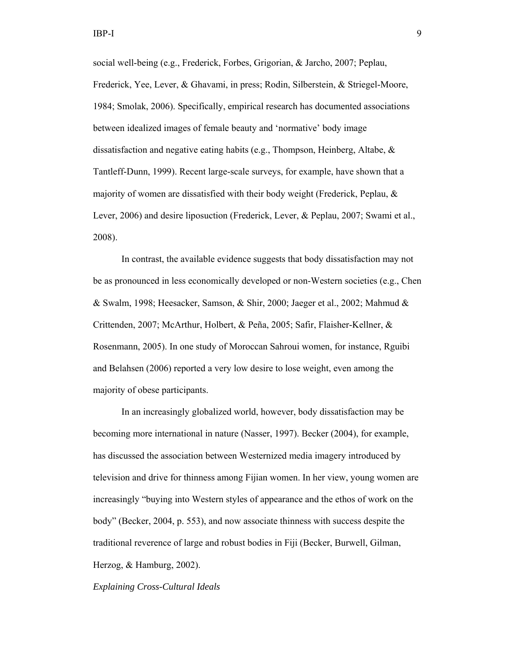social well-being (e.g., Frederick, Forbes, Grigorian, & Jarcho, 2007; Peplau, Frederick, Yee, Lever, & Ghavami, in press; Rodin, Silberstein, & Striegel-Moore, 1984; Smolak, 2006). Specifically, empirical research has documented associations between idealized images of female beauty and 'normative' body image dissatisfaction and negative eating habits (e.g., Thompson, Heinberg, Altabe, & Tantleff-Dunn, 1999). Recent large-scale surveys, for example, have shown that a majority of women are dissatisfied with their body weight (Frederick, Peplau, & Lever, 2006) and desire liposuction (Frederick, Lever, & Peplau, 2007; Swami et al., 2008).

In contrast, the available evidence suggests that body dissatisfaction may not be as pronounced in less economically developed or non-Western societies (e.g., Chen & Swalm, 1998; Heesacker, Samson, & Shir, 2000; Jaeger et al., 2002; Mahmud & Crittenden, 2007; McArthur, Holbert, & Peña, 2005; Safir, Flaisher-Kellner, & Rosenmann, 2005). In one study of Moroccan Sahroui women, for instance, Rguibi and Belahsen (2006) reported a very low desire to lose weight, even among the majority of obese participants.

In an increasingly globalized world, however, body dissatisfaction may be becoming more international in nature (Nasser, 1997). Becker (2004), for example, has discussed the association between Westernized media imagery introduced by television and drive for thinness among Fijian women. In her view, young women are increasingly "buying into Western styles of appearance and the ethos of work on the body" (Becker, 2004, p. 553), and now associate thinness with success despite the traditional reverence of large and robust bodies in Fiji (Becker, Burwell, Gilman, Herzog, & Hamburg, 2002).

#### *Explaining Cross-Cultural Ideals*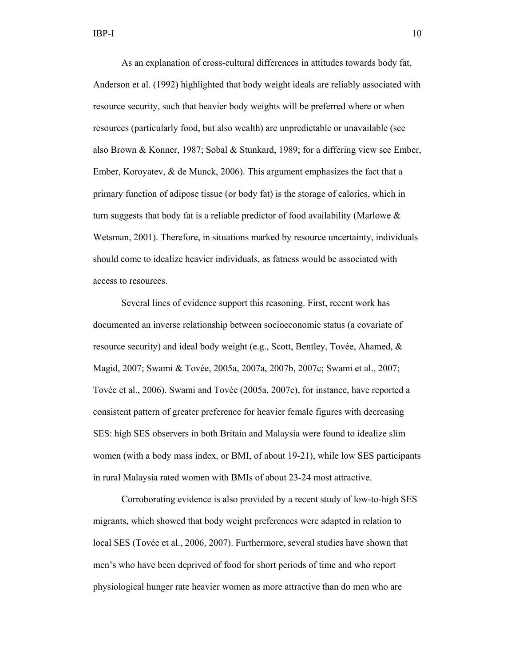As an explanation of cross-cultural differences in attitudes towards body fat, Anderson et al. (1992) highlighted that body weight ideals are reliably associated with resource security, such that heavier body weights will be preferred where or when resources (particularly food, but also wealth) are unpredictable or unavailable (see also Brown & Konner, 1987; Sobal & Stunkard, 1989; for a differing view see Ember, Ember, Koroyatev, & de Munck, 2006). This argument emphasizes the fact that a primary function of adipose tissue (or body fat) is the storage of calories, which in turn suggests that body fat is a reliable predictor of food availability (Marlowe  $\&$ Wetsman, 2001). Therefore, in situations marked by resource uncertainty, individuals should come to idealize heavier individuals, as fatness would be associated with access to resources.

Several lines of evidence support this reasoning. First, recent work has documented an inverse relationship between socioeconomic status (a covariate of resource security) and ideal body weight (e.g., Scott, Bentley, Tovée, Ahamed, & Magid, 2007; Swami & Tovée, 2005a, 2007a, 2007b, 2007c; Swami et al., 2007; Tovée et al., 2006). Swami and Tovée (2005a, 2007c), for instance, have reported a consistent pattern of greater preference for heavier female figures with decreasing SES: high SES observers in both Britain and Malaysia were found to idealize slim women (with a body mass index, or BMI, of about 19-21), while low SES participants in rural Malaysia rated women with BMIs of about 23-24 most attractive.

Corroborating evidence is also provided by a recent study of low-to-high SES migrants, which showed that body weight preferences were adapted in relation to local SES (Tovée et al., 2006, 2007). Furthermore, several studies have shown that men's who have been deprived of food for short periods of time and who report physiological hunger rate heavier women as more attractive than do men who are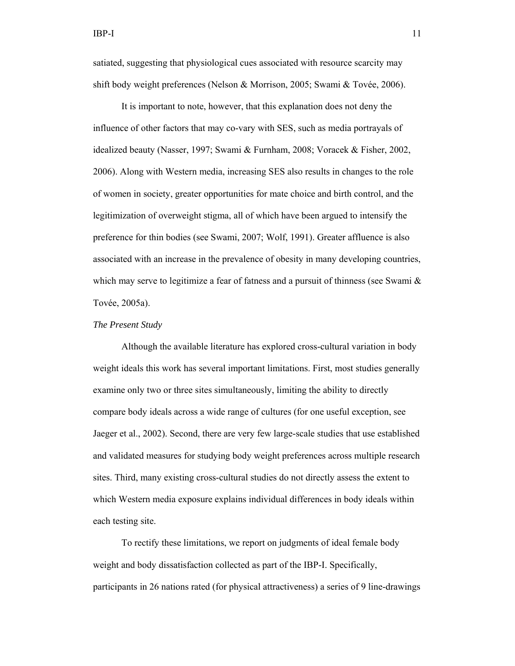satiated, suggesting that physiological cues associated with resource scarcity may shift body weight preferences (Nelson & Morrison, 2005; Swami & Tovée, 2006).

It is important to note, however, that this explanation does not deny the influence of other factors that may co-vary with SES, such as media portrayals of idealized beauty (Nasser, 1997; Swami & Furnham, 2008; Voracek & Fisher, 2002, 2006). Along with Western media, increasing SES also results in changes to the role of women in society, greater opportunities for mate choice and birth control, and the legitimization of overweight stigma, all of which have been argued to intensify the preference for thin bodies (see Swami, 2007; Wolf, 1991). Greater affluence is also associated with an increase in the prevalence of obesity in many developing countries, which may serve to legitimize a fear of fatness and a pursuit of thinness (see Swami  $\&$ Tovée, 2005a).

# *The Present Study*

Although the available literature has explored cross-cultural variation in body weight ideals this work has several important limitations. First, most studies generally examine only two or three sites simultaneously, limiting the ability to directly compare body ideals across a wide range of cultures (for one useful exception, see Jaeger et al., 2002). Second, there are very few large-scale studies that use established and validated measures for studying body weight preferences across multiple research sites. Third, many existing cross-cultural studies do not directly assess the extent to which Western media exposure explains individual differences in body ideals within each testing site.

To rectify these limitations, we report on judgments of ideal female body weight and body dissatisfaction collected as part of the IBP-I. Specifically, participants in 26 nations rated (for physical attractiveness) a series of 9 line-drawings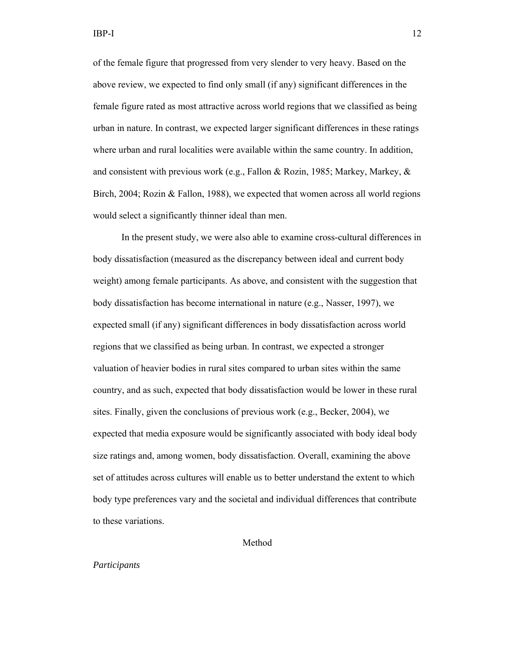of the female figure that progressed from very slender to very heavy. Based on the above review, we expected to find only small (if any) significant differences in the female figure rated as most attractive across world regions that we classified as being urban in nature. In contrast, we expected larger significant differences in these ratings where urban and rural localities were available within the same country. In addition, and consistent with previous work (e.g., Fallon & Rozin, 1985; Markey, Markey,  $\&$ Birch, 2004; Rozin & Fallon, 1988), we expected that women across all world regions would select a significantly thinner ideal than men.

In the present study, we were also able to examine cross-cultural differences in body dissatisfaction (measured as the discrepancy between ideal and current body weight) among female participants. As above, and consistent with the suggestion that body dissatisfaction has become international in nature (e.g., Nasser, 1997), we expected small (if any) significant differences in body dissatisfaction across world regions that we classified as being urban. In contrast, we expected a stronger valuation of heavier bodies in rural sites compared to urban sites within the same country, and as such, expected that body dissatisfaction would be lower in these rural sites. Finally, given the conclusions of previous work (e.g., Becker, 2004), we expected that media exposure would be significantly associated with body ideal body size ratings and, among women, body dissatisfaction. Overall, examining the above set of attitudes across cultures will enable us to better understand the extent to which body type preferences vary and the societal and individual differences that contribute to these variations.

# Method

#### *Participants*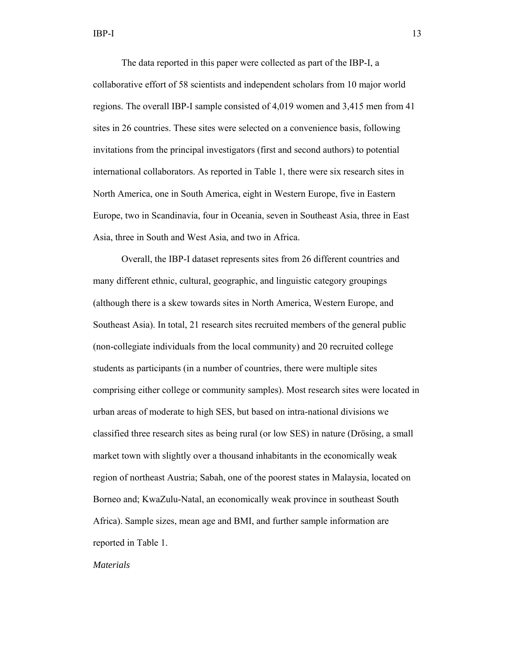The data reported in this paper were collected as part of the IBP-I, a collaborative effort of 58 scientists and independent scholars from 10 major world regions. The overall IBP-I sample consisted of 4,019 women and 3,415 men from 41 sites in 26 countries. These sites were selected on a convenience basis, following invitations from the principal investigators (first and second authors) to potential international collaborators. As reported in Table 1, there were six research sites in North America, one in South America, eight in Western Europe, five in Eastern Europe, two in Scandinavia, four in Oceania, seven in Southeast Asia, three in East Asia, three in South and West Asia, and two in Africa.

 Overall, the IBP-I dataset represents sites from 26 different countries and many different ethnic, cultural, geographic, and linguistic category groupings (although there is a skew towards sites in North America, Western Europe, and Southeast Asia). In total, 21 research sites recruited members of the general public (non-collegiate individuals from the local community) and 20 recruited college students as participants (in a number of countries, there were multiple sites comprising either college or community samples). Most research sites were located in urban areas of moderate to high SES, but based on intra-national divisions we classified three research sites as being rural (or low SES) in nature (Drösing, a small market town with slightly over a thousand inhabitants in the economically weak region of northeast Austria; Sabah, one of the poorest states in Malaysia, located on Borneo and; KwaZulu-Natal, an economically weak province in southeast South Africa). Sample sizes, mean age and BMI, and further sample information are reported in Table 1.

#### *Materials*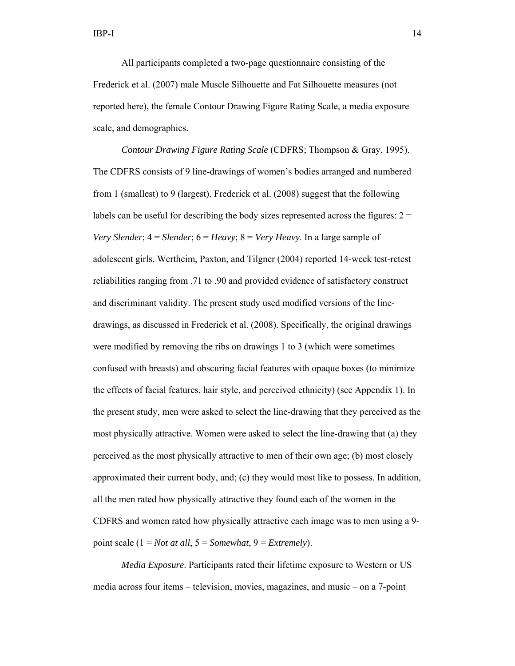All participants completed a two-page questionnaire consisting of the Frederick et al. (2007) male Muscle Silhouette and Fat Silhouette measures (not reported here), the female Contour Drawing Figure Rating Scale, a media exposure scale, and demographics.

*Contour Drawing Figure Rating Scale* (CDFRS; Thompson & Gray, 1995). The CDFRS consists of 9 line-drawings of women's bodies arranged and numbered from 1 (smallest) to 9 (largest). Frederick et al. (2008) suggest that the following labels can be useful for describing the body sizes represented across the figures:  $2 =$ *Very Slender*; 4 = *Slender*; 6 = *Heavy*; 8 = *Very Heavy*. In a large sample of adolescent girls, Wertheim, Paxton, and Tilgner (2004) reported 14-week test-retest reliabilities ranging from .71 to .90 and provided evidence of satisfactory construct and discriminant validity. The present study used modified versions of the linedrawings, as discussed in Frederick et al. (2008). Specifically, the original drawings were modified by removing the ribs on drawings 1 to 3 (which were sometimes confused with breasts) and obscuring facial features with opaque boxes (to minimize the effects of facial features, hair style, and perceived ethnicity) (see Appendix 1). In the present study, men were asked to select the line-drawing that they perceived as the most physically attractive. Women were asked to select the line-drawing that (a) they perceived as the most physically attractive to men of their own age; (b) most closely approximated their current body, and; (c) they would most like to possess. In addition, all the men rated how physically attractive they found each of the women in the CDFRS and women rated how physically attractive each image was to men using a 9 point scale (1 = *Not at all*, 5 = *Somewhat*, 9 = *Extremely*).

*Media Exposure*. Participants rated their lifetime exposure to Western or US media across four items – television, movies, magazines, and music – on a 7-point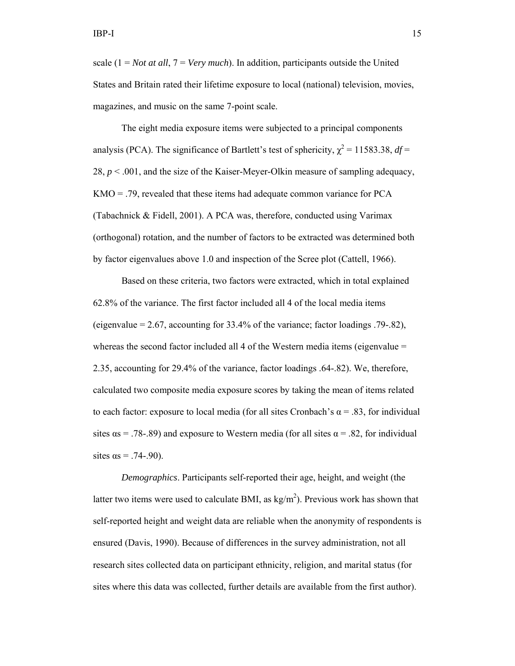scale (1 = *Not at all*, 7 = *Very much*). In addition, participants outside the United States and Britain rated their lifetime exposure to local (national) television, movies, magazines, and music on the same 7-point scale.

The eight media exposure items were subjected to a principal components analysis (PCA). The significance of Bartlett's test of sphericity,  $\chi^2 = 11583.38$ , *df* = 28,  $p < .001$ , and the size of the Kaiser-Meyer-Olkin measure of sampling adequacy, KMO = .79, revealed that these items had adequate common variance for PCA (Tabachnick & Fidell, 2001). A PCA was, therefore, conducted using Varimax (orthogonal) rotation, and the number of factors to be extracted was determined both by factor eigenvalues above 1.0 and inspection of the Scree plot (Cattell, 1966).

Based on these criteria, two factors were extracted, which in total explained 62.8% of the variance. The first factor included all 4 of the local media items (eigenvalue  $= 2.67$ , accounting for 33.4% of the variance; factor loadings .79-.82), whereas the second factor included all 4 of the Western media items (eigenvalue = 2.35, accounting for 29.4% of the variance, factor loadings .64-.82). We, therefore, calculated two composite media exposure scores by taking the mean of items related to each factor: exposure to local media (for all sites Cronbach's  $\alpha$  = .83, for individual sites  $\alpha$  = .78-.89) and exposure to Western media (for all sites  $\alpha$  = .82, for individual sites  $\alpha s = .74 - .90$ ).

*Demographics*. Participants self-reported their age, height, and weight (the latter two items were used to calculate BMI, as  $\text{kg/m}^2$ ). Previous work has shown that self-reported height and weight data are reliable when the anonymity of respondents is ensured (Davis, 1990). Because of differences in the survey administration, not all research sites collected data on participant ethnicity, religion, and marital status (for sites where this data was collected, further details are available from the first author).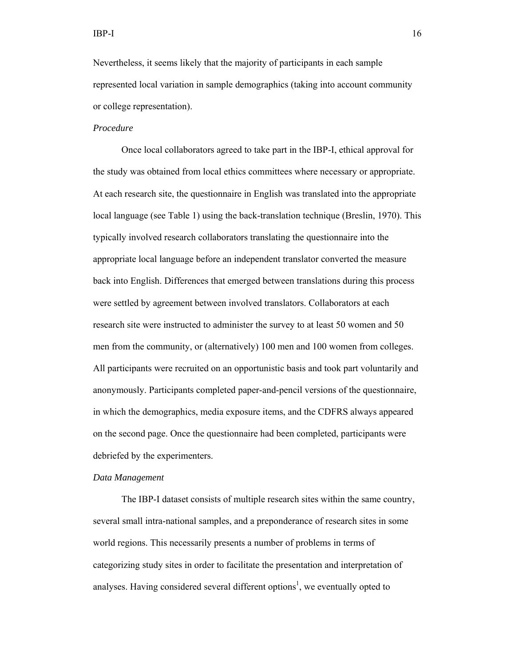Nevertheless, it seems likely that the majority of participants in each sample represented local variation in sample demographics (taking into account community or college representation).

#### *Procedure*

Once local collaborators agreed to take part in the IBP-I, ethical approval for the study was obtained from local ethics committees where necessary or appropriate. At each research site, the questionnaire in English was translated into the appropriate local language (see Table 1) using the back-translation technique (Breslin, 1970). This typically involved research collaborators translating the questionnaire into the appropriate local language before an independent translator converted the measure back into English. Differences that emerged between translations during this process were settled by agreement between involved translators. Collaborators at each research site were instructed to administer the survey to at least 50 women and 50 men from the community, or (alternatively) 100 men and 100 women from colleges. All participants were recruited on an opportunistic basis and took part voluntarily and anonymously. Participants completed paper-and-pencil versions of the questionnaire, in which the demographics, media exposure items, and the CDFRS always appeared on the second page. Once the questionnaire had been completed, participants were debriefed by the experimenters.

#### *Data Management*

The IBP-I dataset consists of multiple research sites within the same country, several small intra-national samples, and a preponderance of research sites in some world regions. This necessarily presents a number of problems in terms of categorizing study sites in order to facilitate the presentation and interpretation of analyses. Having considered several different options<sup>1</sup>, we eventually opted to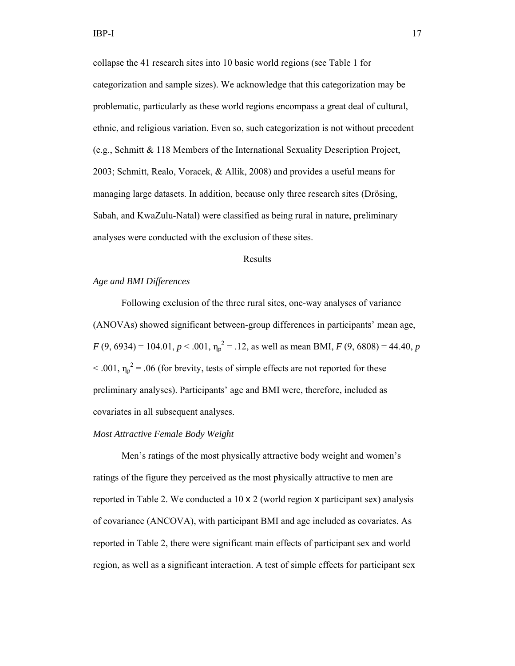collapse the 41 research sites into 10 basic world regions (see Table 1 for categorization and sample sizes). We acknowledge that this categorization may be problematic, particularly as these world regions encompass a great deal of cultural, ethnic, and religious variation. Even so, such categorization is not without precedent (e.g., Schmitt & 118 Members of the International Sexuality Description Project, 2003; Schmitt, Realo, Voracek, & Allik, 2008) and provides a useful means for managing large datasets. In addition, because only three research sites (Drösing, Sabah, and KwaZulu-Natal) were classified as being rural in nature, preliminary analyses were conducted with the exclusion of these sites.

# Results

# *Age and BMI Differences*

 Following exclusion of the three rural sites, one-way analyses of variance (ANOVAs) showed significant between-group differences in participants' mean age,  $F(9, 6934) = 104.01, p < .001, \eta_p^2 = .12$ , as well as mean BMI,  $F(9, 6808) = 44.40, p$  $< .001$ ,  $\eta_p^2 = .06$  (for brevity, tests of simple effects are not reported for these preliminary analyses). Participants' age and BMI were, therefore, included as covariates in all subsequent analyses.

#### *Most Attractive Female Body Weight*

 Men's ratings of the most physically attractive body weight and women's ratings of the figure they perceived as the most physically attractive to men are reported in Table 2. We conducted a  $10 \times 2$  (world region x participant sex) analysis of covariance (ANCOVA), with participant BMI and age included as covariates. As reported in Table 2, there were significant main effects of participant sex and world region, as well as a significant interaction. A test of simple effects for participant sex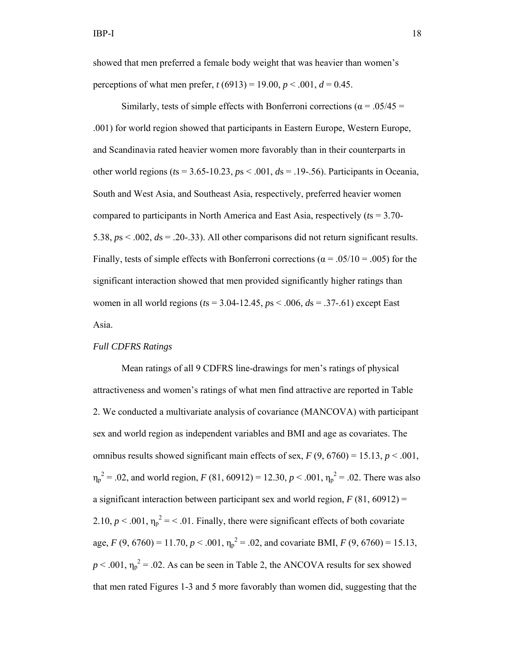showed that men preferred a female body weight that was heavier than women's perceptions of what men prefer,  $t(6913) = 19.00$ ,  $p < .001$ ,  $d = 0.45$ .

Similarly, tests of simple effects with Bonferroni corrections ( $\alpha$  = .05/45 = .001) for world region showed that participants in Eastern Europe, Western Europe, and Scandinavia rated heavier women more favorably than in their counterparts in other world regions (*t*s = 3.65-10.23, *p*s < .001, *d*s = .19-.56). Participants in Oceania, South and West Asia, and Southeast Asia, respectively, preferred heavier women compared to participants in North America and East Asia, respectively (*t*s = 3.70- 5.38, *p*s < .002, *d*s = .20-.33). All other comparisons did not return significant results. Finally, tests of simple effects with Bonferroni corrections ( $\alpha$  = .05/10 = .005) for the significant interaction showed that men provided significantly higher ratings than women in all world regions (*t*s = 3.04-12.45, *p*s < .006, *d*s = .37-.61) except East Asia.

# *Full CDFRS Ratings*

Mean ratings of all 9 CDFRS line-drawings for men's ratings of physical attractiveness and women's ratings of what men find attractive are reported in Table 2. We conducted a multivariate analysis of covariance (MANCOVA) with participant sex and world region as independent variables and BMI and age as covariates. The omnibus results showed significant main effects of sex,  $F(9, 6760) = 15.13$ ,  $p < .001$ ,  $\eta_p^2 = .02$ , and world region, *F* (81, 60912) = 12.30, *p* < .001,  $\eta_p^2 = .02$ . There was also a significant interaction between participant sex and world region,  $F(81, 60912) =$ 2.10,  $p < .001$ ,  $\eta_p^2 = < .01$ . Finally, there were significant effects of both covariate age,  $F(9, 6760) = 11.70, p < .001, \eta_p^2 = .02$ , and covariate BMI,  $F(9, 6760) = 15.13$ ,  $p < .001$ ,  $\eta_p^2 = .02$ . As can be seen in Table 2, the ANCOVA results for sex showed that men rated Figures 1-3 and 5 more favorably than women did, suggesting that the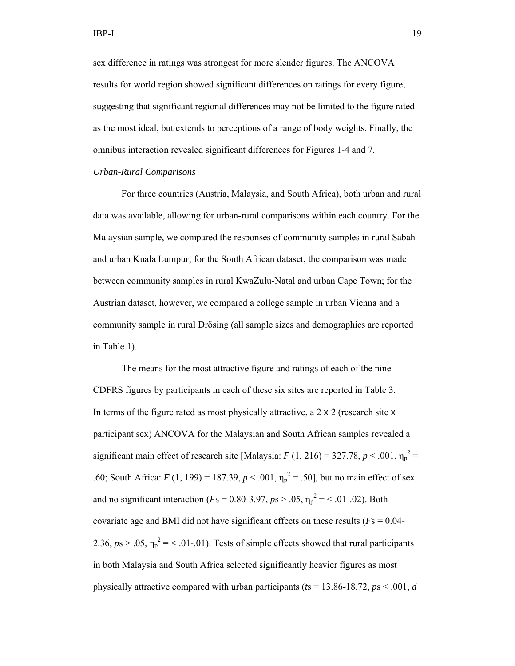sex difference in ratings was strongest for more slender figures. The ANCOVA results for world region showed significant differences on ratings for every figure, suggesting that significant regional differences may not be limited to the figure rated as the most ideal, but extends to perceptions of a range of body weights. Finally, the omnibus interaction revealed significant differences for Figures 1-4 and 7.

# *Urban-Rural Comparisons*

For three countries (Austria, Malaysia, and South Africa), both urban and rural data was available, allowing for urban-rural comparisons within each country. For the Malaysian sample, we compared the responses of community samples in rural Sabah and urban Kuala Lumpur; for the South African dataset, the comparison was made between community samples in rural KwaZulu-Natal and urban Cape Town; for the Austrian dataset, however, we compared a college sample in urban Vienna and a community sample in rural Drösing (all sample sizes and demographics are reported in Table 1).

 The means for the most attractive figure and ratings of each of the nine CDFRS figures by participants in each of these six sites are reported in Table 3. In terms of the figure rated as most physically attractive, a 2 x 2 (research site x participant sex) ANCOVA for the Malaysian and South African samples revealed a significant main effect of research site [Malaysia:  $F(1, 216) = 327.78$ ,  $p < .001$ ,  $\eta_p^2 =$ .60; South Africa:  $F(1, 199) = 187.39, p < .001, \eta_p^2 = .50$ , but no main effect of sex and no significant interaction ( $Fs = 0.80 - 3.97$ ,  $ps > .05$ ,  $\eta_p^2 = < .01 - .02$ ). Both covariate age and BMI did not have significant effects on these results (*F*s = 0.04- 2.36,  $ps > .05$ ,  $\eta_p^2 = 5.01$ -.01. Tests of simple effects showed that rural participants in both Malaysia and South Africa selected significantly heavier figures as most physically attractive compared with urban participants (*t*s = 13.86-18.72, *p*s < .001, *d*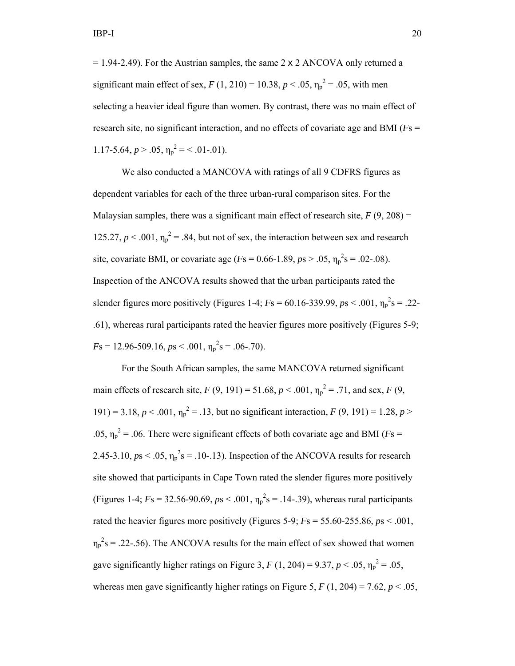$= 1.94 - 2.49$ ). For the Austrian samples, the same 2 x 2 ANCOVA only returned a significant main effect of sex,  $F(1, 210) = 10.38, p < .05, \eta_p^2 = .05$ , with men selecting a heavier ideal figure than women. By contrast, there was no main effect of research site, no significant interaction, and no effects of covariate age and BMI (*F*s = 1.17-5.64,  $p > .05$ ,  $\eta_p^2 = < .01$ -.01).

We also conducted a MANCOVA with ratings of all 9 CDFRS figures as dependent variables for each of the three urban-rural comparison sites. For the Malaysian samples, there was a significant main effect of research site,  $F(9, 208) =$ 125.27,  $p < .001$ ,  $\eta_p^2 = .84$ , but not of sex, the interaction between sex and research site, covariate BMI, or covariate age ( $Fs = 0.66 - 1.89$ ,  $ps > .05$ ,  $\eta_p^2 s = .02 - .08$ ). Inspection of the ANCOVA results showed that the urban participants rated the slender figures more positively (Figures 1-4;  $Fs = 60.16 - 339.99$ ,  $ps < .001$ ,  $\eta_p^2 s = .22 -$ .61), whereas rural participants rated the heavier figures more positively (Figures 5-9;  $F_s = 12.96 - 509.16$ ,  $ps < .001$ ,  $\eta_p^2 s = .06 - .70$ ).

 For the South African samples, the same MANCOVA returned significant main effects of research site,  $F(9, 191) = 51.68$ ,  $p < .001$ ,  $\eta_p^2 = .71$ , and sex,  $F(9, 191) = .71$ 191) = 3.18,  $p < .001$ ,  $\eta_p^2 = .13$ , but no significant interaction,  $F(9, 191) = 1.28$ ,  $p >$ .05,  $\eta_p^2$  = .06. There were significant effects of both covariate age and BMI (*F*s = 2.45-3.10,  $ps < .05$ ,  $\eta_p^2 s = .10$ -.13). Inspection of the ANCOVA results for research site showed that participants in Cape Town rated the slender figures more positively (Figures 1-4;  $Fs = 32.56 - 90.69$ ,  $ps < .001$ ,  $\eta_p^2 s = .14 - .39$ ), whereas rural participants rated the heavier figures more positively (Figures 5-9;  $Fs = 55.60-255.86$ ,  $ps < .001$ ,  $\eta_p^2$ s = .22-.56). The ANCOVA results for the main effect of sex showed that women gave significantly higher ratings on Figure 3,  $F(1, 204) = 9.37, p < .05, \eta_p^2 = .05$ , whereas men gave significantly higher ratings on Figure 5,  $F(1, 204) = 7.62$ ,  $p < .05$ ,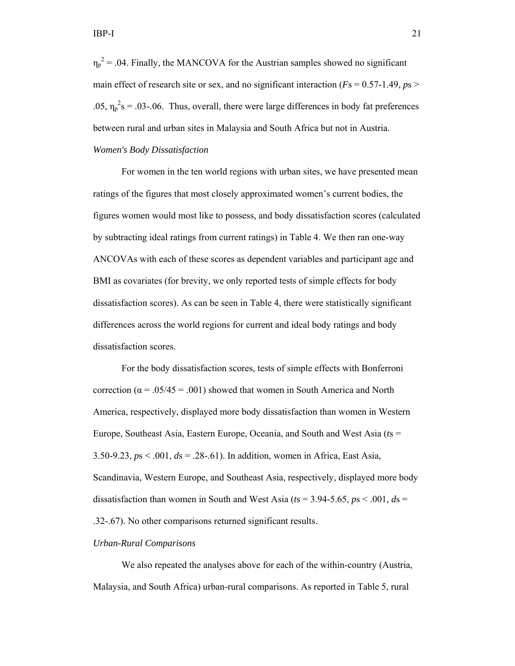$\eta_p^2$  = .04. Finally, the MANCOVA for the Austrian samples showed no significant main effect of research site or sex, and no significant interaction ( $Fs = 0.57-1.49$ ,  $ps >$ .05,  $\eta_p^2$ s = .03-.06. Thus, overall, there were large differences in body fat preferences between rural and urban sites in Malaysia and South Africa but not in Austria.

# *Women's Body Dissatisfaction*

 For women in the ten world regions with urban sites, we have presented mean ratings of the figures that most closely approximated women's current bodies, the figures women would most like to possess, and body dissatisfaction scores (calculated by subtracting ideal ratings from current ratings) in Table 4. We then ran one-way ANCOVAs with each of these scores as dependent variables and participant age and BMI as covariates (for brevity, we only reported tests of simple effects for body dissatisfaction scores). As can be seen in Table 4, there were statistically significant differences across the world regions for current and ideal body ratings and body dissatisfaction scores.

 For the body dissatisfaction scores, tests of simple effects with Bonferroni correction ( $\alpha$  = .05/45 = .001) showed that women in South America and North America, respectively, displayed more body dissatisfaction than women in Western Europe, Southeast Asia, Eastern Europe, Oceania, and South and West Asia (*t*s = 3.50-9.23, *p*s < .001, *d*s = .28-.61). In addition, women in Africa, East Asia, Scandinavia, Western Europe, and Southeast Asia, respectively, displayed more body dissatisfaction than women in South and West Asia ( $t$ s = 3.94-5.65,  $p$ s < .001,  $d$ s = .32-.67). No other comparisons returned significant results.

# *Urban-Rural Comparisons*

 We also repeated the analyses above for each of the within-country (Austria, Malaysia, and South Africa) urban-rural comparisons. As reported in Table 5, rural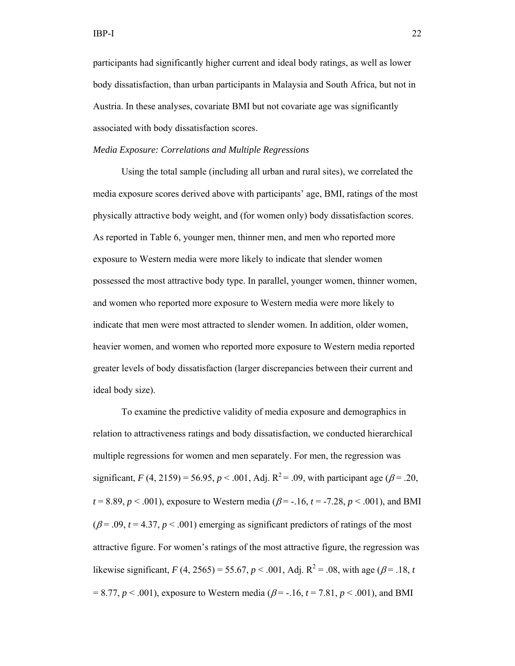participants had significantly higher current and ideal body ratings, as well as lower body dissatisfaction, than urban participants in Malaysia and South Africa, but not in Austria. In these analyses, covariate BMI but not covariate age was significantly associated with body dissatisfaction scores.

# *Media Exposure: Correlations and Multiple Regressions*

 Using the total sample (including all urban and rural sites), we correlated the media exposure scores derived above with participants' age, BMI, ratings of the most physically attractive body weight, and (for women only) body dissatisfaction scores. As reported in Table 6, younger men, thinner men, and men who reported more exposure to Western media were more likely to indicate that slender women possessed the most attractive body type. In parallel, younger women, thinner women, and women who reported more exposure to Western media were more likely to indicate that men were most attracted to slender women. In addition, older women, heavier women, and women who reported more exposure to Western media reported greater levels of body dissatisfaction (larger discrepancies between their current and ideal body size).

 To examine the predictive validity of media exposure and demographics in relation to attractiveness ratings and body dissatisfaction, we conducted hierarchical multiple regressions for women and men separately. For men, the regression was significant, *F* (4, 2159) = 56.95, *p* < .001, Adj.  $R^2$  = .09, with participant age ( $\beta$  = .20,  $t = 8.89, p < .001$ , exposure to Western media ( $\beta = -.16, t = -7.28, p < .001$ ), and BMI  $(\beta = .09, t = 4.37, p < .001)$  emerging as significant predictors of ratings of the most attractive figure. For women's ratings of the most attractive figure, the regression was likewise significant, *F* (4, 2565) = 55.67, *p* < .001, Adj.  $R^2$  = .08, with age ( $\beta$  = .18, *t*  $= 8.77, p \le 0.001$ , exposure to Western media ( $\beta = -16, t = 7.81, p \le 0.001$ ), and BMI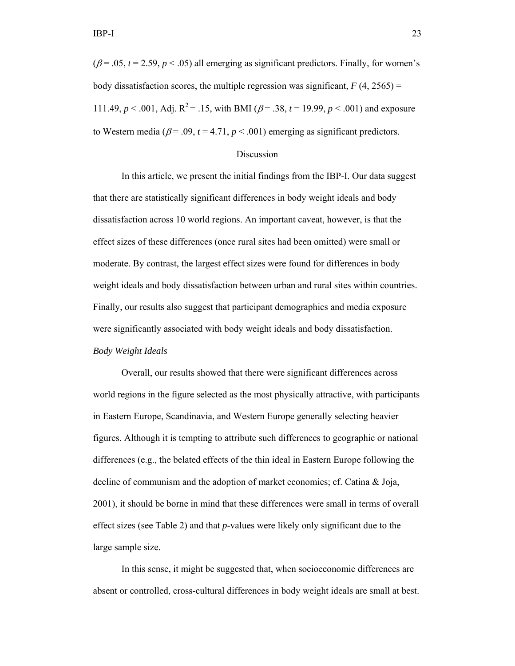$(\beta = .05, t = 2.59, p < .05)$  all emerging as significant predictors. Finally, for women's body dissatisfaction scores, the multiple regression was significant,  $F(4, 2565) =$ 111.49,  $p < .001$ , Adj.  $R^2 = .15$ , with BMI ( $\beta = .38$ ,  $t = 19.99$ ,  $p < .001$ ) and exposure to Western media ( $\beta$  = .09,  $t$  = 4.71,  $p$  < .001) emerging as significant predictors.

# Discussion

 In this article, we present the initial findings from the IBP-I. Our data suggest that there are statistically significant differences in body weight ideals and body dissatisfaction across 10 world regions. An important caveat, however, is that the effect sizes of these differences (once rural sites had been omitted) were small or moderate. By contrast, the largest effect sizes were found for differences in body weight ideals and body dissatisfaction between urban and rural sites within countries. Finally, our results also suggest that participant demographics and media exposure were significantly associated with body weight ideals and body dissatisfaction. *Body Weight Ideals* 

 Overall, our results showed that there were significant differences across world regions in the figure selected as the most physically attractive, with participants in Eastern Europe, Scandinavia, and Western Europe generally selecting heavier figures. Although it is tempting to attribute such differences to geographic or national differences (e.g., the belated effects of the thin ideal in Eastern Europe following the decline of communism and the adoption of market economies; cf. Catina & Joja, 2001), it should be borne in mind that these differences were small in terms of overall effect sizes (see Table 2) and that *p*-values were likely only significant due to the large sample size.

 In this sense, it might be suggested that, when socioeconomic differences are absent or controlled, cross-cultural differences in body weight ideals are small at best.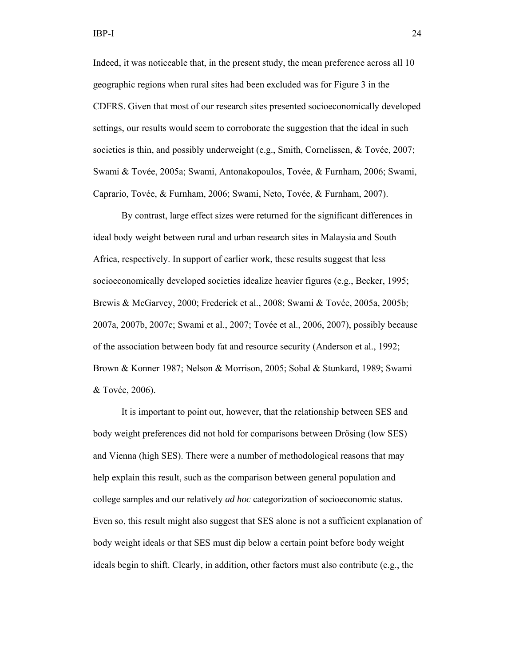Indeed, it was noticeable that, in the present study, the mean preference across all 10 geographic regions when rural sites had been excluded was for Figure 3 in the CDFRS. Given that most of our research sites presented socioeconomically developed settings, our results would seem to corroborate the suggestion that the ideal in such societies is thin, and possibly underweight (e.g., Smith, Cornelissen, & Tovée, 2007; Swami & Tovée, 2005a; Swami, Antonakopoulos, Tovée, & Furnham, 2006; Swami, Caprario, Tovée, & Furnham, 2006; Swami, Neto, Tovée, & Furnham, 2007).

 By contrast, large effect sizes were returned for the significant differences in ideal body weight between rural and urban research sites in Malaysia and South Africa, respectively. In support of earlier work, these results suggest that less socioeconomically developed societies idealize heavier figures (e.g., Becker, 1995; Brewis & McGarvey, 2000; Frederick et al., 2008; Swami & Tovée, 2005a, 2005b; 2007a, 2007b, 2007c; Swami et al., 2007; Tovée et al., 2006, 2007), possibly because of the association between body fat and resource security (Anderson et al., 1992; Brown & Konner 1987; Nelson & Morrison, 2005; Sobal & Stunkard, 1989; Swami & Tovée, 2006).

 It is important to point out, however, that the relationship between SES and body weight preferences did not hold for comparisons between Drösing (low SES) and Vienna (high SES). There were a number of methodological reasons that may help explain this result, such as the comparison between general population and college samples and our relatively *ad hoc* categorization of socioeconomic status. Even so, this result might also suggest that SES alone is not a sufficient explanation of body weight ideals or that SES must dip below a certain point before body weight ideals begin to shift. Clearly, in addition, other factors must also contribute (e.g., the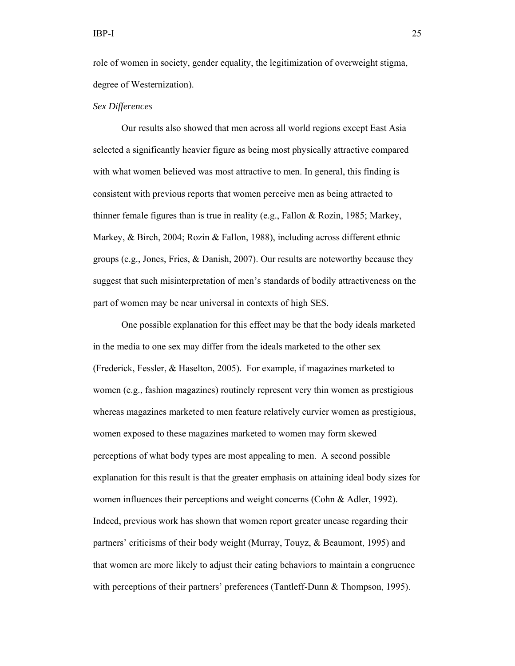role of women in society, gender equality, the legitimization of overweight stigma, degree of Westernization).

# *Sex Differences*

Our results also showed that men across all world regions except East Asia selected a significantly heavier figure as being most physically attractive compared with what women believed was most attractive to men. In general, this finding is consistent with previous reports that women perceive men as being attracted to thinner female figures than is true in reality (e.g., Fallon & Rozin, 1985; Markey, Markey, & Birch, 2004; Rozin & Fallon, 1988), including across different ethnic groups (e.g., Jones, Fries, & Danish, 2007). Our results are noteworthy because they suggest that such misinterpretation of men's standards of bodily attractiveness on the part of women may be near universal in contexts of high SES.

 One possible explanation for this effect may be that the body ideals marketed in the media to one sex may differ from the ideals marketed to the other sex (Frederick, Fessler, & Haselton, 2005). For example, if magazines marketed to women (e.g., fashion magazines) routinely represent very thin women as prestigious whereas magazines marketed to men feature relatively curvier women as prestigious, women exposed to these magazines marketed to women may form skewed perceptions of what body types are most appealing to men. A second possible explanation for this result is that the greater emphasis on attaining ideal body sizes for women influences their perceptions and weight concerns (Cohn & Adler, 1992). Indeed, previous work has shown that women report greater unease regarding their partners' criticisms of their body weight (Murray, Touyz, & Beaumont, 1995) and that women are more likely to adjust their eating behaviors to maintain a congruence with perceptions of their partners' preferences (Tantleff-Dunn & Thompson, 1995).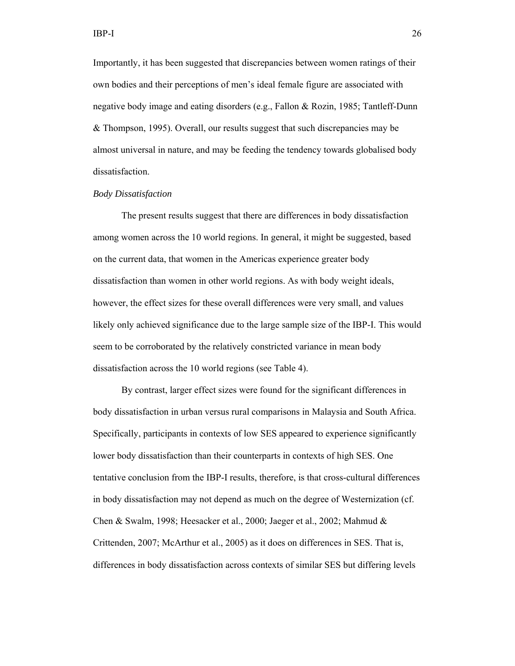Importantly, it has been suggested that discrepancies between women ratings of their own bodies and their perceptions of men's ideal female figure are associated with negative body image and eating disorders (e.g., Fallon & Rozin, 1985; Tantleff-Dunn & Thompson, 1995). Overall, our results suggest that such discrepancies may be almost universal in nature, and may be feeding the tendency towards globalised body dissatisfaction.

#### *Body Dissatisfaction*

 The present results suggest that there are differences in body dissatisfaction among women across the 10 world regions. In general, it might be suggested, based on the current data, that women in the Americas experience greater body dissatisfaction than women in other world regions. As with body weight ideals, however, the effect sizes for these overall differences were very small, and values likely only achieved significance due to the large sample size of the IBP-I. This would seem to be corroborated by the relatively constricted variance in mean body dissatisfaction across the 10 world regions (see Table 4).

 By contrast, larger effect sizes were found for the significant differences in body dissatisfaction in urban versus rural comparisons in Malaysia and South Africa. Specifically, participants in contexts of low SES appeared to experience significantly lower body dissatisfaction than their counterparts in contexts of high SES. One tentative conclusion from the IBP-I results, therefore, is that cross-cultural differences in body dissatisfaction may not depend as much on the degree of Westernization (cf. Chen & Swalm, 1998; Heesacker et al., 2000; Jaeger et al., 2002; Mahmud & Crittenden, 2007; McArthur et al., 2005) as it does on differences in SES. That is, differences in body dissatisfaction across contexts of similar SES but differing levels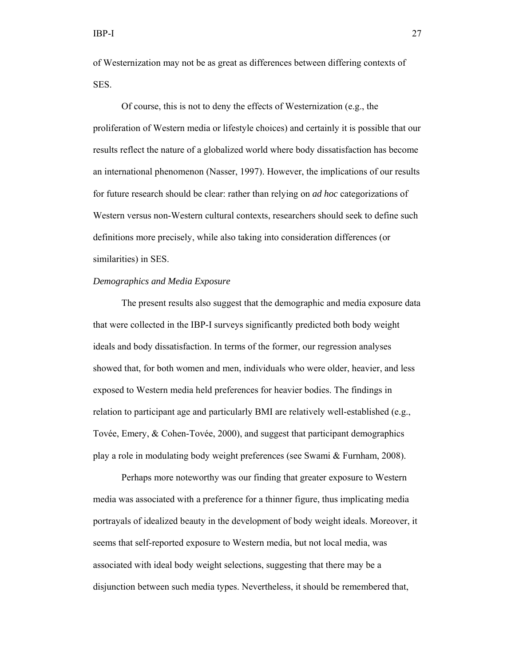of Westernization may not be as great as differences between differing contexts of SES.

 Of course, this is not to deny the effects of Westernization (e.g., the proliferation of Western media or lifestyle choices) and certainly it is possible that our results reflect the nature of a globalized world where body dissatisfaction has become an international phenomenon (Nasser, 1997). However, the implications of our results for future research should be clear: rather than relying on *ad hoc* categorizations of Western versus non-Western cultural contexts, researchers should seek to define such definitions more precisely, while also taking into consideration differences (or similarities) in SES.

# *Demographics and Media Exposure*

 The present results also suggest that the demographic and media exposure data that were collected in the IBP-I surveys significantly predicted both body weight ideals and body dissatisfaction. In terms of the former, our regression analyses showed that, for both women and men, individuals who were older, heavier, and less exposed to Western media held preferences for heavier bodies. The findings in relation to participant age and particularly BMI are relatively well-established (e.g., Tovée, Emery, & Cohen-Tovée, 2000), and suggest that participant demographics play a role in modulating body weight preferences (see Swami & Furnham, 2008).

 Perhaps more noteworthy was our finding that greater exposure to Western media was associated with a preference for a thinner figure, thus implicating media portrayals of idealized beauty in the development of body weight ideals. Moreover, it seems that self-reported exposure to Western media, but not local media, was associated with ideal body weight selections, suggesting that there may be a disjunction between such media types. Nevertheless, it should be remembered that,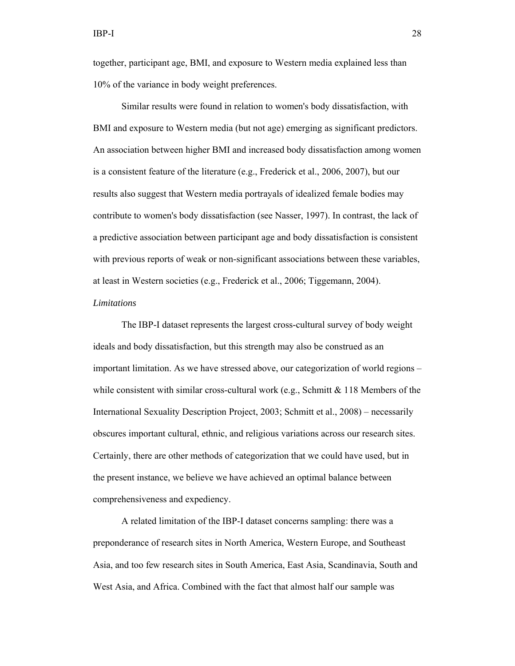together, participant age, BMI, and exposure to Western media explained less than 10% of the variance in body weight preferences.

 Similar results were found in relation to women's body dissatisfaction, with BMI and exposure to Western media (but not age) emerging as significant predictors. An association between higher BMI and increased body dissatisfaction among women is a consistent feature of the literature (e.g., Frederick et al., 2006, 2007), but our results also suggest that Western media portrayals of idealized female bodies may contribute to women's body dissatisfaction (see Nasser, 1997). In contrast, the lack of a predictive association between participant age and body dissatisfaction is consistent with previous reports of weak or non-significant associations between these variables, at least in Western societies (e.g., Frederick et al., 2006; Tiggemann, 2004).

# *Limitations*

 The IBP-I dataset represents the largest cross-cultural survey of body weight ideals and body dissatisfaction, but this strength may also be construed as an important limitation. As we have stressed above, our categorization of world regions – while consistent with similar cross-cultural work (e.g., Schmitt  $& 118$  Members of the International Sexuality Description Project, 2003; Schmitt et al., 2008) – necessarily obscures important cultural, ethnic, and religious variations across our research sites. Certainly, there are other methods of categorization that we could have used, but in the present instance, we believe we have achieved an optimal balance between comprehensiveness and expediency.

 A related limitation of the IBP-I dataset concerns sampling: there was a preponderance of research sites in North America, Western Europe, and Southeast Asia, and too few research sites in South America, East Asia, Scandinavia, South and West Asia, and Africa. Combined with the fact that almost half our sample was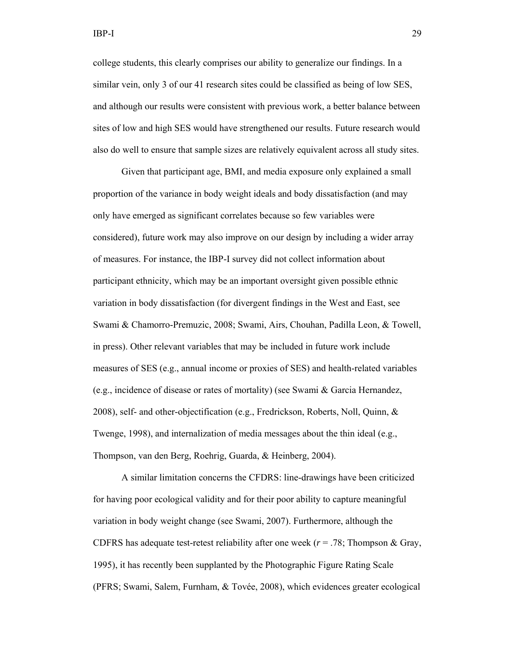college students, this clearly comprises our ability to generalize our findings. In a similar vein, only 3 of our 41 research sites could be classified as being of low SES, and although our results were consistent with previous work, a better balance between sites of low and high SES would have strengthened our results. Future research would also do well to ensure that sample sizes are relatively equivalent across all study sites.

Given that participant age, BMI, and media exposure only explained a small proportion of the variance in body weight ideals and body dissatisfaction (and may only have emerged as significant correlates because so few variables were considered), future work may also improve on our design by including a wider array of measures. For instance, the IBP-I survey did not collect information about participant ethnicity, which may be an important oversight given possible ethnic variation in body dissatisfaction (for divergent findings in the West and East, see Swami & Chamorro-Premuzic, 2008; Swami, Airs, Chouhan, Padilla Leon, & Towell, in press). Other relevant variables that may be included in future work include measures of SES (e.g., annual income or proxies of SES) and health-related variables (e.g., incidence of disease or rates of mortality) (see Swami & Garcia Hernandez, 2008), self- and other-objectification (e.g., Fredrickson, Roberts, Noll, Quinn, & Twenge, 1998), and internalization of media messages about the thin ideal (e.g., Thompson, van den Berg, Roehrig, Guarda, & Heinberg, 2004).

A similar limitation concerns the CFDRS: line-drawings have been criticized for having poor ecological validity and for their poor ability to capture meaningful variation in body weight change (see Swami, 2007). Furthermore, although the CDFRS has adequate test-retest reliability after one week  $(r = .78;$  Thompson & Gray, 1995), it has recently been supplanted by the Photographic Figure Rating Scale (PFRS; Swami, Salem, Furnham, & Tovée, 2008), which evidences greater ecological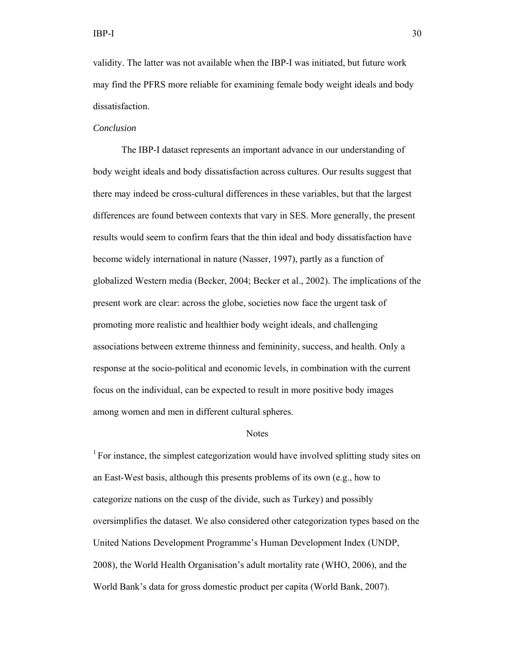validity. The latter was not available when the IBP-I was initiated, but future work may find the PFRS more reliable for examining female body weight ideals and body dissatisfaction.

#### *Conclusion*

 The IBP-I dataset represents an important advance in our understanding of body weight ideals and body dissatisfaction across cultures. Our results suggest that there may indeed be cross-cultural differences in these variables, but that the largest differences are found between contexts that vary in SES. More generally, the present results would seem to confirm fears that the thin ideal and body dissatisfaction have become widely international in nature (Nasser, 1997), partly as a function of globalized Western media (Becker, 2004; Becker et al., 2002). The implications of the present work are clear: across the globe, societies now face the urgent task of promoting more realistic and healthier body weight ideals, and challenging associations between extreme thinness and femininity, success, and health. Only a response at the socio-political and economic levels, in combination with the current focus on the individual, can be expected to result in more positive body images among women and men in different cultural spheres.

#### Notes

<sup>1</sup> For instance, the simplest categorization would have involved splitting study sites on an East-West basis, although this presents problems of its own (e.g., how to categorize nations on the cusp of the divide, such as Turkey) and possibly oversimplifies the dataset. We also considered other categorization types based on the United Nations Development Programme's Human Development Index (UNDP, 2008), the World Health Organisation's adult mortality rate (WHO, 2006), and the World Bank's data for gross domestic product per capita (World Bank, 2007).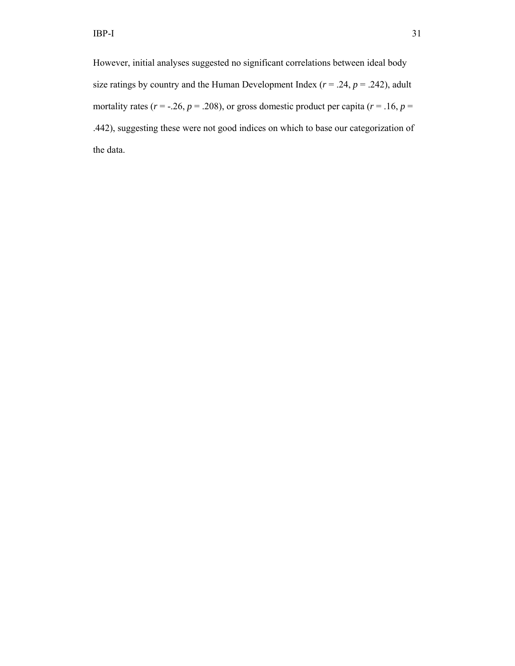However, initial analyses suggested no significant correlations between ideal body size ratings by country and the Human Development Index ( $r = .24$ ,  $p = .242$ ), adult mortality rates ( $r = -.26$ ,  $p = .208$ ), or gross domestic product per capita ( $r = .16$ ,  $p =$ .442), suggesting these were not good indices on which to base our categorization of the data.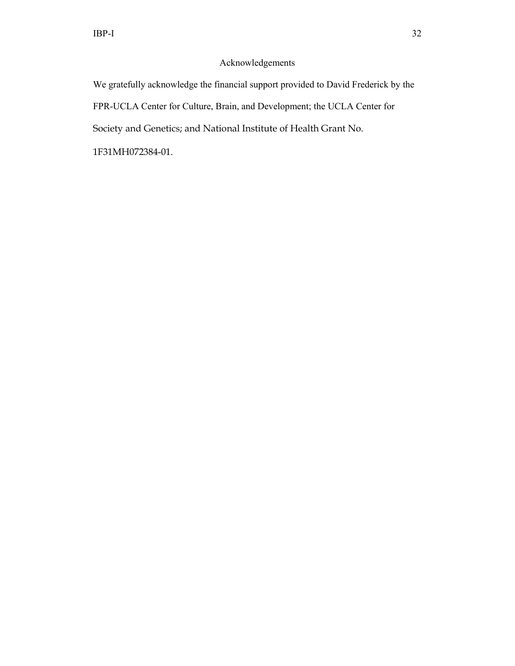# Acknowledgements

We gratefully acknowledge the financial support provided to David Frederick by the FPR-UCLA Center for Culture, Brain, and Development; the UCLA Center for Society and Genetics; and National Institute of Health Grant No.

1F31MH072384-01.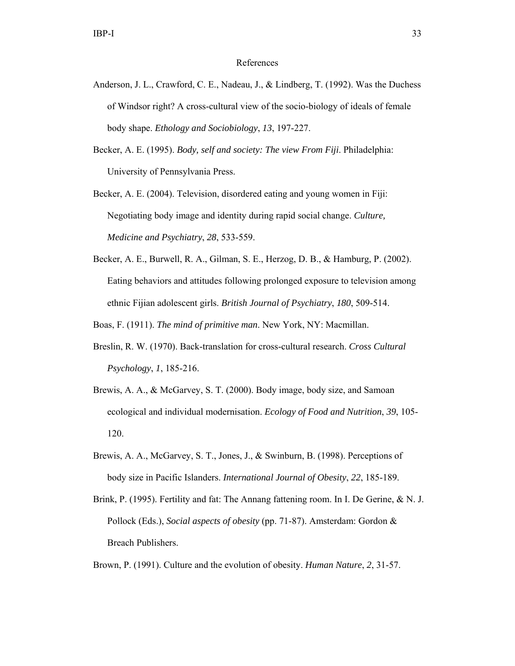#### References

- Anderson, J. L., Crawford, C. E., Nadeau, J., & Lindberg, T. (1992). Was the Duchess of Windsor right? A cross-cultural view of the socio-biology of ideals of female body shape. *Ethology and Sociobiology*, *13*, 197-227.
- Becker, A. E. (1995). *Body, self and society: The view From Fiji*. Philadelphia: University of Pennsylvania Press.
- Becker, A. E. (2004). Television, disordered eating and young women in Fiji: Negotiating body image and identity during rapid social change. *Culture, Medicine and Psychiatry*, *28*, 533-559.
- Becker, A. E., Burwell, R. A., Gilman, S. E., Herzog, D. B., & Hamburg, P. (2002). Eating behaviors and attitudes following prolonged exposure to television among ethnic Fijian adolescent girls. *British Journal of Psychiatry*, *180*, 509-514.

Boas, F. (1911). *The mind of primitive man*. New York, NY: Macmillan.

- Breslin, R. W. (1970). Back-translation for cross-cultural research. *Cross Cultural Psychology*, *1*, 185-216.
- Brewis, A. A., & McGarvey, S. T. (2000). Body image, body size, and Samoan ecological and individual modernisation. *Ecology of Food and Nutrition*, *39*, 105- 120.
- Brewis, A. A., McGarvey, S. T., Jones, J., & Swinburn, B. (1998). Perceptions of body size in Pacific Islanders. *International Journal of Obesity*, *22*, 185-189.
- Brink, P. (1995). Fertility and fat: The Annang fattening room. In I. De Gerine, & N. J. Pollock (Eds.), *Social aspects of obesity* (pp. 71-87). Amsterdam: Gordon & Breach Publishers.
- Brown, P. (1991). Culture and the evolution of obesity. *Human Nature*, *2*, 31-57.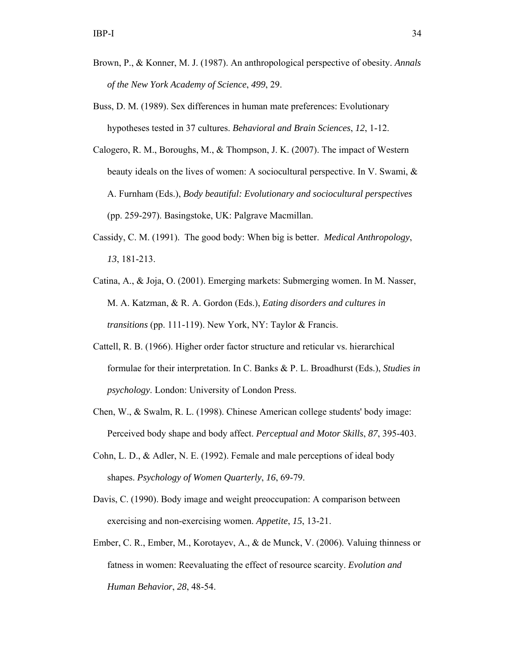- Brown, P., & Konner, M. J. (1987). An anthropological perspective of obesity. *Annals of the New York Academy of Science*, *499*, 29.
- Buss, D. M. (1989). Sex differences in human mate preferences: Evolutionary hypotheses tested in 37 cultures. *Behavioral and Brain Sciences*, *12*, 1-12.
- Calogero, R. M., Boroughs, M., & Thompson, J. K. (2007). The impact of Western beauty ideals on the lives of women: A sociocultural perspective. In V. Swami, & A. Furnham (Eds.), *Body beautiful: Evolutionary and sociocultural perspectives* (pp. 259-297). Basingstoke, UK: Palgrave Macmillan.
- Cassidy, C. M. (1991). The good body: When big is better. *Medical Anthropology*, *13*, 181-213.
- Catina, A., & Joja, O. (2001). Emerging markets: Submerging women. In M. Nasser, M. A. Katzman, & R. A. Gordon (Eds.), *Eating disorders and cultures in transitions* (pp. 111-119). New York, NY: Taylor & Francis.
- Cattell, R. B. (1966). Higher order factor structure and reticular vs. hierarchical formulae for their interpretation. In C. Banks & P. L. Broadhurst (Eds.), *Studies in psychology*. London: University of London Press.
- Chen, W., & Swalm, R. L. (1998). Chinese American college students' body image: Perceived body shape and body affect. *Perceptual and Motor Skills*, *87*, 395-403.
- Cohn, L. D., & Adler, N. E. (1992). Female and male perceptions of ideal body shapes. *Psychology of Women Quarterly*, *16*, 69-79.
- Davis, C. (1990). Body image and weight preoccupation: A comparison between exercising and non-exercising women. *Appetite*, *15*, 13-21.
- Ember, C. R., Ember, M., Korotayev, A., & de Munck, V. (2006). Valuing thinness or fatness in women: Reevaluating the effect of resource scarcity. *Evolution and Human Behavior*, *28*, 48-54.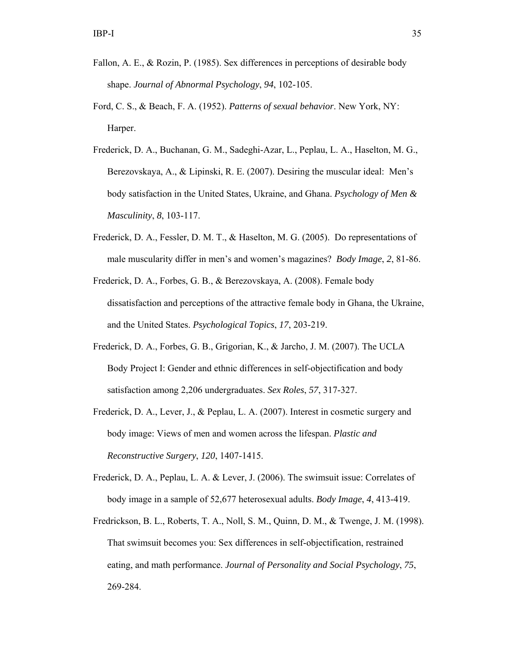- Fallon, A. E., & Rozin, P. (1985). Sex differences in perceptions of desirable body shape. *Journal of Abnormal Psychology*, *94*, 102-105.
- Ford, C. S., & Beach, F. A. (1952). *Patterns of sexual behavior*. New York, NY: Harper.
- Frederick, D. A., Buchanan, G. M., Sadeghi-Azar, L., Peplau, L. A., Haselton, M. G., Berezovskaya, A., & Lipinski, R. E. (2007). Desiring the muscular ideal: Men's body satisfaction in the United States, Ukraine, and Ghana. *Psychology of Men & Masculinity*, *8*, 103-117.
- Frederick, D. A., Fessler, D. M. T., & Haselton, M. G. (2005). Do representations of male muscularity differ in men's and women's magazines? *Body Image*, *2*, 81-86.
- Frederick, D. A., Forbes, G. B., & Berezovskaya, A. (2008). Female body dissatisfaction and perceptions of the attractive female body in Ghana, the Ukraine, and the United States. *Psychological Topics*, *17*, 203-219.
- Frederick, D. A., Forbes, G. B., Grigorian, K., & Jarcho, J. M. (2007). The UCLA Body Project I: Gender and ethnic differences in self-objectification and body satisfaction among 2,206 undergraduates. *Sex Roles*, *57*, 317-327.
- Frederick, D. A., Lever, J., & Peplau, L. A. (2007). Interest in cosmetic surgery and body image: Views of men and women across the lifespan. *Plastic and Reconstructive Surgery*, *120*, 1407-1415.
- Frederick, D. A., Peplau, L. A. & Lever, J. (2006). The swimsuit issue: Correlates of body image in a sample of 52,677 heterosexual adults. *Body Image*, *4*, 413-419.
- Fredrickson, B. L., Roberts, T. A., Noll, S. M., Quinn, D. M., & Twenge, J. M. (1998). That swimsuit becomes you: Sex differences in self-objectification, restrained eating, and math performance. *Journal of Personality and Social Psychology*, *75*, 269-284.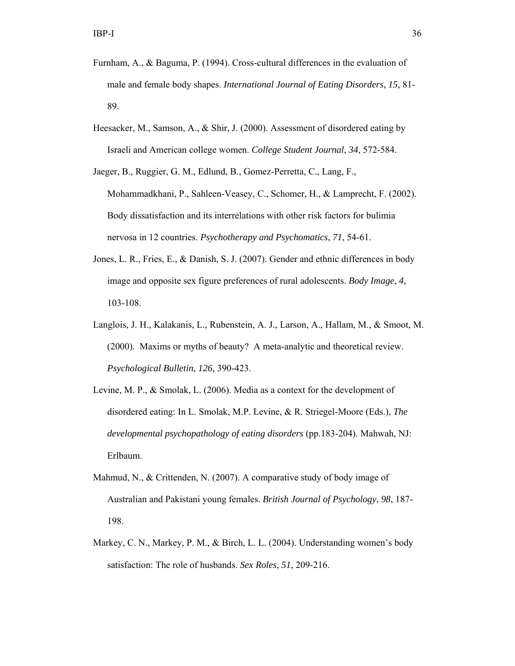- Furnham, A., & Baguma, P. (1994). Cross-cultural differences in the evaluation of male and female body shapes. *International Journal of Eating Disorders*, *15*, 81- 89.
- Heesacker, M., Samson, A., & Shir, J. (2000). Assessment of disordered eating by Israeli and American college women. *College Student Journal*, *34*, 572-584.
- Jaeger, B., Ruggier, G. M., Edlund, B., Gomez-Perretta, C., Lang, F., Mohammadkhani, P., Sahleen-Veasey, C., Schomer, H., & Lamprecht, F. (2002). Body dissatisfaction and its interrelations with other risk factors for bulimia nervosa in 12 countries. *Psychotherapy and Psychomatics*, *71*, 54-61.
- Jones, L. R., Fries, E., & Danish, S. J. (2007). Gender and ethnic differences in body image and opposite sex figure preferences of rural adolescents. *Body Image*, *4*, 103-108.
- Langlois, J. H., Kalakanis, L., Rubenstein, A. J., Larson, A., Hallam, M., & Smoot, M. (2000). Maxims or myths of beauty? A meta-analytic and theoretical review. *Psychological Bulletin*, *126*, 390-423.
- Levine, M. P., & Smolak, L. (2006). Media as a context for the development of disordered eating: In L. Smolak, M.P. Levine, & R. Striegel-Moore (Eds.), *The developmental psychopathology of eating disorders* (pp.183-204). Mahwah, NJ: Erlbaum.
- Mahmud, N., & Crittenden, N. (2007). A comparative study of body image of Australian and Pakistani young females. *British Journal of Psychology*, *98*, 187- 198.
- Markey, C. N., Markey, P. M., & Birch, L. L. (2004). Understanding women's body satisfaction: The role of husbands. *Sex Roles*, *51*, 209-216.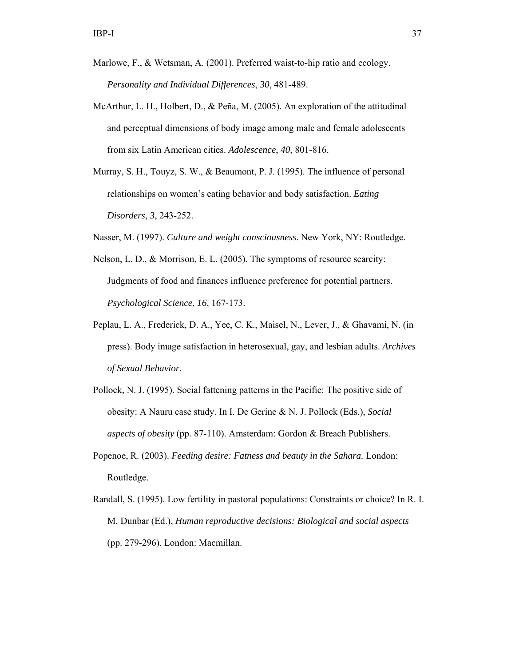- Marlowe, F., & Wetsman, A. (2001). Preferred waist-to-hip ratio and ecology. *Personality and Individual Differences*, *30*, 481-489.
- McArthur, L. H., Holbert, D., & Peña, M. (2005). An exploration of the attitudinal and perceptual dimensions of body image among male and female adolescents from six Latin American cities. *Adolescence*, *40*, 801-816.
- Murray, S. H., Touyz, S. W., & Beaumont, P. J. (1995). The influence of personal relationships on women's eating behavior and body satisfaction. *Eating Disorders*, *3*, 243-252.

Nasser, M. (1997). *Culture and weight consciousness*. New York, NY: Routledge.

- Nelson, L. D., & Morrison, E. L. (2005). The symptoms of resource scarcity: Judgments of food and finances influence preference for potential partners. *Psychological Science*, *16*, 167-173.
- Peplau, L. A., Frederick, D. A., Yee, C. K., Maisel, N., Lever, J., & Ghavami, N. (in press). Body image satisfaction in heterosexual, gay, and lesbian adults. *Archives of Sexual Behavior*.
- Pollock, N. J. (1995). Social fattening patterns in the Pacific: The positive side of obesity: A Nauru case study. In I. De Gerine & N. J. Pollock (Eds.), *Social aspects of obesity* (pp. 87-110). Amsterdam: Gordon & Breach Publishers.
- Popenoe, R. (2003). *Feeding desire: Fatness and beauty in the Sahara.* London: Routledge.
- Randall, S. (1995). Low fertility in pastoral populations: Constraints or choice? In R. I. M. Dunbar (Ed.), *Human reproductive decisions: Biological and social aspects* (pp. 279-296). London: Macmillan.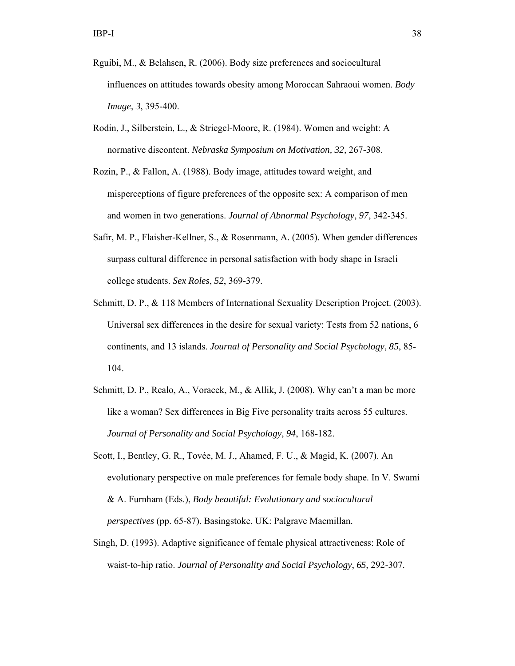- Rguibi, M., & Belahsen, R. (2006). Body size preferences and sociocultural influences on attitudes towards obesity among Moroccan Sahraoui women. *Body Image*, *3*, 395-400.
- Rodin, J., Silberstein, L., & Striegel-Moore, R. (1984). Women and weight: A normative discontent. *Nebraska Symposium on Motivation, 32,* 267-308.
- Rozin, P., & Fallon, A. (1988). Body image, attitudes toward weight, and misperceptions of figure preferences of the opposite sex: A comparison of men and women in two generations. *Journal of Abnormal Psychology*, *97*, 342-345.
- Safir, M. P., Flaisher-Kellner, S., & Rosenmann, A. (2005). When gender differences surpass cultural difference in personal satisfaction with body shape in Israeli college students. *Sex Roles*, *52*, 369-379.
- Schmitt, D. P., & 118 Members of International Sexuality Description Project. (2003). Universal sex differences in the desire for sexual variety: Tests from 52 nations, 6 continents, and 13 islands. *Journal of Personality and Social Psychology*, *85*, 85- 104.
- Schmitt, D. P., Realo, A., Voracek, M., & Allik, J. (2008). Why can't a man be more like a woman? Sex differences in Big Five personality traits across 55 cultures. *Journal of Personality and Social Psychology*, *94*, 168-182.
- Scott, I., Bentley, G. R., Tovée, M. J., Ahamed, F. U., & Magid, K. (2007). An evolutionary perspective on male preferences for female body shape. In V. Swami & A. Furnham (Eds.), *Body beautiful: Evolutionary and sociocultural perspectives* (pp. 65-87). Basingstoke, UK: Palgrave Macmillan.
- Singh, D. (1993). Adaptive significance of female physical attractiveness: Role of waist-to-hip ratio. *Journal of Personality and Social Psychology*, *65*, 292-307.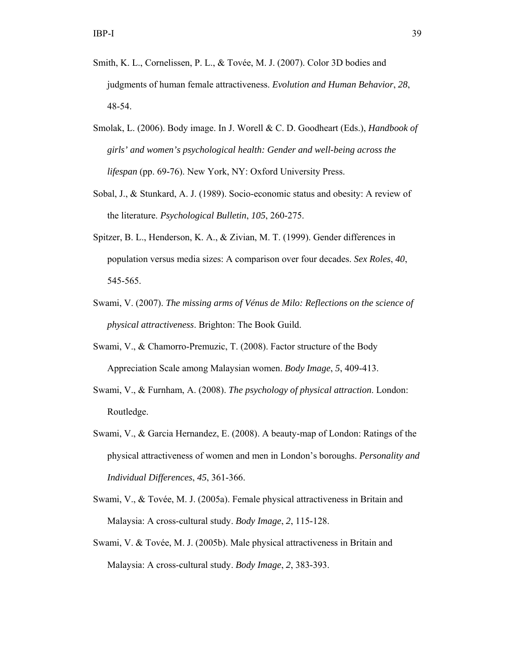- Smith, K. L., Cornelissen, P. L., & Tovée, M. J. (2007). Color 3D bodies and judgments of human female attractiveness. *Evolution and Human Behavior*, *28*, 48-54.
- Smolak, L. (2006). Body image. In J. Worell & C. D. Goodheart (Eds.), *Handbook of girls' and women's psychological health: Gender and well-being across the lifespan* (pp. 69-76). New York, NY: Oxford University Press.
- Sobal, J., & Stunkard, A. J. (1989). Socio-economic status and obesity: A review of the literature. *Psychological Bulletin*, *105*, 260-275.
- Spitzer, B. L., Henderson, K. A., & Zivian, M. T. (1999). Gender differences in population versus media sizes: A comparison over four decades. *Sex Roles*, *40*, 545-565.
- Swami, V. (2007). *The missing arms of Vénus de Milo: Reflections on the science of physical attractiveness*. Brighton: The Book Guild.
- Swami, V., & Chamorro-Premuzic, T. (2008). Factor structure of the Body Appreciation Scale among Malaysian women. *Body Image*, *5*, 409-413.
- Swami, V., & Furnham, A. (2008). *The psychology of physical attraction*. London: Routledge.
- Swami, V., & Garcia Hernandez, E. (2008). A beauty-map of London: Ratings of the physical attractiveness of women and men in London's boroughs. *Personality and Individual Differences*, *45*, 361-366.
- Swami, V., & Tovée, M. J. (2005a). Female physical attractiveness in Britain and Malaysia: A cross-cultural study. *Body Image*, *2*, 115-128.
- Swami, V. & Tovée, M. J. (2005b). Male physical attractiveness in Britain and Malaysia: A cross-cultural study. *Body Image*, *2*, 383-393.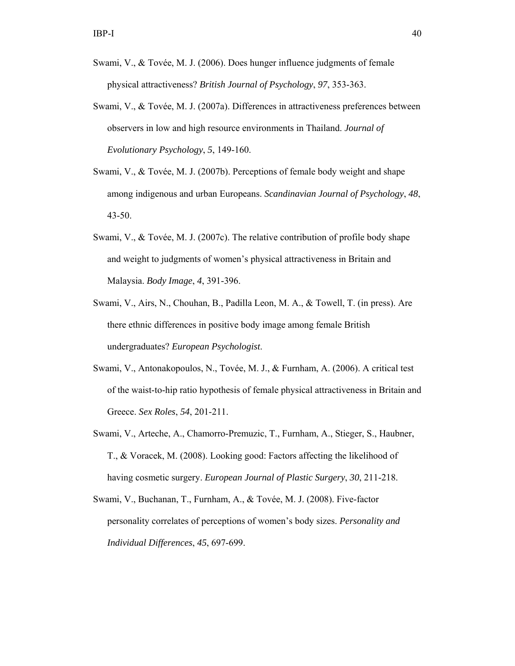- Swami, V., & Tovée, M. J. (2006). Does hunger influence judgments of female physical attractiveness? *British Journal of Psychology*, *97*, 353-363.
- Swami, V., & Tovée, M. J. (2007a). Differences in attractiveness preferences between observers in low and high resource environments in Thailand. *Journal of Evolutionary Psychology*, *5*, 149-160.
- Swami, V., & Tovée, M. J. (2007b). Perceptions of female body weight and shape among indigenous and urban Europeans. *Scandinavian Journal of Psychology*, *48*, 43-50.
- Swami, V., & Tovée, M. J. (2007c). The relative contribution of profile body shape and weight to judgments of women's physical attractiveness in Britain and Malaysia. *Body Image*, *4*, 391-396.
- Swami, V., Airs, N., Chouhan, B., Padilla Leon, M. A., & Towell, T. (in press). Are there ethnic differences in positive body image among female British undergraduates? *European Psychologist*.
- Swami, V., Antonakopoulos, N., Tovée, M. J., & Furnham, A. (2006). A critical test of the waist-to-hip ratio hypothesis of female physical attractiveness in Britain and Greece. *Sex Roles*, *54*, 201-211.
- Swami, V., Arteche, A., Chamorro-Premuzic, T., Furnham, A., Stieger, S., Haubner, T., & Voracek, M. (2008). Looking good: Factors affecting the likelihood of having cosmetic surgery. *European Journal of Plastic Surgery*, *30*, 211-218.
- Swami, V., Buchanan, T., Furnham, A., & Tovée, M. J. (2008). Five-factor personality correlates of perceptions of women's body sizes. *Personality and Individual Differences*, *45*, 697-699.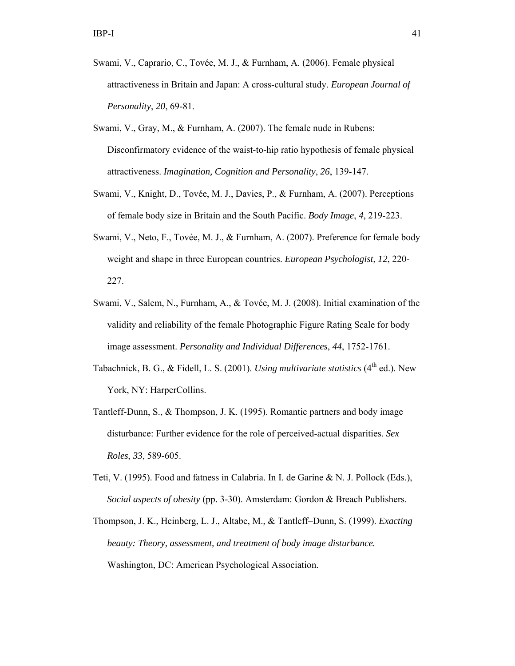- Swami, V., Caprario, C., Tovée, M. J., & Furnham, A. (2006). Female physical attractiveness in Britain and Japan: A cross-cultural study. *European Journal of Personality*, *20*, 69-81.
- Swami, V., Gray, M., & Furnham, A. (2007). The female nude in Rubens: Disconfirmatory evidence of the waist-to-hip ratio hypothesis of female physical attractiveness. *Imagination, Cognition and Personality*, *26*, 139-147.
- Swami, V., Knight, D., Tovée, M. J., Davies, P., & Furnham, A. (2007). Perceptions of female body size in Britain and the South Pacific. *Body Image*, *4*, 219-223.
- Swami, V., Neto, F., Tovée, M. J., & Furnham, A. (2007). Preference for female body weight and shape in three European countries. *European Psychologist*, *12*, 220- 227.
- Swami, V., Salem, N., Furnham, A., & Tovée, M. J. (2008). Initial examination of the validity and reliability of the female Photographic Figure Rating Scale for body image assessment. *Personality and Individual Differences*, *44*, 1752-1761.
- Tabachnick, B. G., & Fidell, L. S. (2001). *Using multivariate statistics* (4<sup>th</sup> ed.). New York, NY: HarperCollins.
- Tantleff-Dunn, S., & Thompson, J. K. (1995). Romantic partners and body image disturbance: Further evidence for the role of perceived-actual disparities. *Sex Roles*, *33*, 589-605.
- Teti, V. (1995). Food and fatness in Calabria. In I. de Garine & N. J. Pollock (Eds.), *Social aspects of obesity* (pp. 3-30). Amsterdam: Gordon & Breach Publishers.
- Thompson, J. K., Heinberg, L. J., Altabe, M., & Tantleff–Dunn, S. (1999). *Exacting beauty: Theory, assessment, and treatment of body image disturbance.*  Washington, DC: American Psychological Association.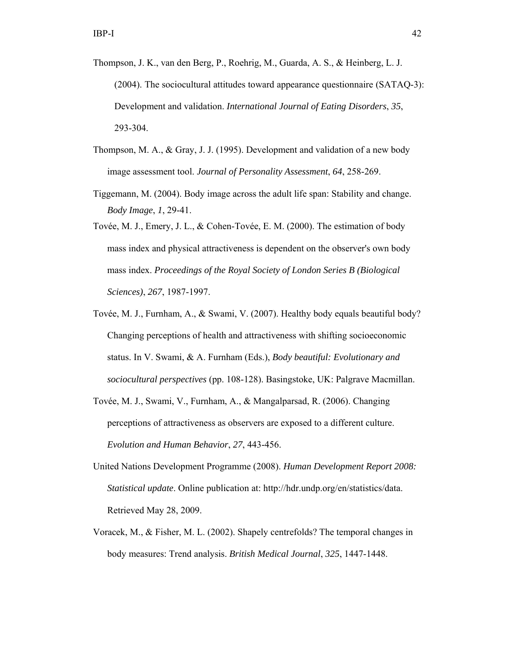- Thompson, J. K., van den Berg, P., Roehrig, M., Guarda, A. S., & Heinberg, L. J. (2004). The sociocultural attitudes toward appearance questionnaire (SATAQ-3): Development and validation. *International Journal of Eating Disorders*, *35*, 293-304.
- Thompson, M. A., & Gray, J. J. (1995). Development and validation of a new body image assessment tool. *Journal of Personality Assessment*, *64*, 258-269.
- Tiggemann, M. (2004). Body image across the adult life span: Stability and change. *Body Image*, *1*, 29-41.
- Tovée, M. J., Emery, J. L., & Cohen-Tovée, E. M. (2000). The estimation of body mass index and physical attractiveness is dependent on the observer's own body mass index. *Proceedings of the Royal Society of London Series B (Biological Sciences)*, *267*, 1987-1997.
- Tovée, M. J., Furnham, A., & Swami, V. (2007). Healthy body equals beautiful body? Changing perceptions of health and attractiveness with shifting socioeconomic status. In V. Swami, & A. Furnham (Eds.), *Body beautiful: Evolutionary and sociocultural perspectives* (pp. 108-128). Basingstoke, UK: Palgrave Macmillan.
- Tovée, M. J., Swami, V., Furnham, A., & Mangalparsad, R. (2006). Changing perceptions of attractiveness as observers are exposed to a different culture. *Evolution and Human Behavior*, *27*, 443-456.
- United Nations Development Programme (2008). *Human Development Report 2008: Statistical update*. Online publication at: http://hdr.undp.org/en/statistics/data. Retrieved May 28, 2009.
- Voracek, M., & Fisher, M. L. (2002). Shapely centrefolds? The temporal changes in body measures: Trend analysis. *British Medical Journal*, *325*, 1447-1448.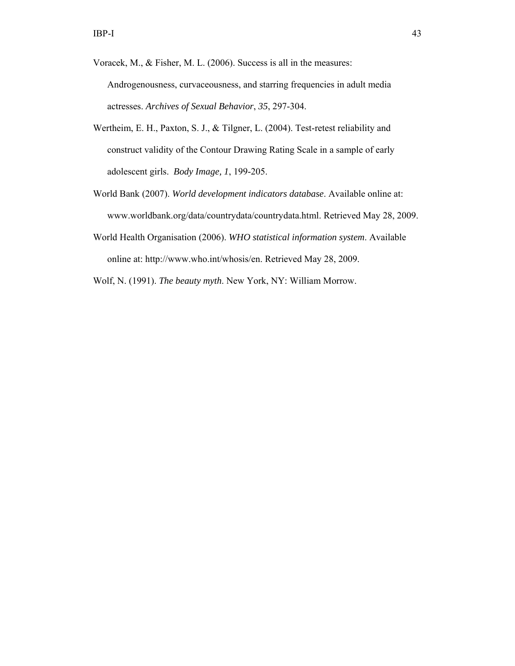Voracek, M., & Fisher, M. L. (2006). Success is all in the measures: Androgenousness, curvaceousness, and starring frequencies in adult media actresses. *Archives of Sexual Behavior*, *35*, 297-304.

- Wertheim, E. H., Paxton, S. J., & Tilgner, L. (2004). Test-retest reliability and construct validity of the Contour Drawing Rating Scale in a sample of early adolescent girls. *Body Image, 1*, 199-205.
- World Bank (2007). *World development indicators database*. Available online at: www.worldbank.org/data/countrydata/countrydata.html. Retrieved May 28, 2009.
- World Health Organisation (2006). *WHO statistical information system*. Available online at: http://www.who.int/whosis/en. Retrieved May 28, 2009.

Wolf, N. (1991). *The beauty myth*. New York, NY: William Morrow.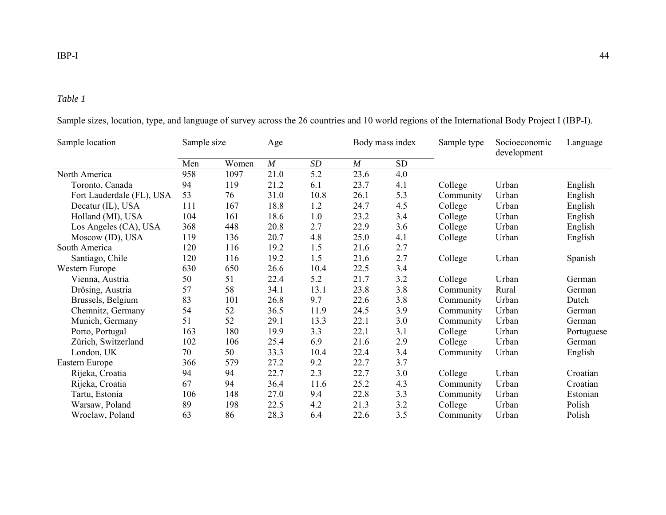# *Table 1*

| Sample location           | Sample size |       | Age  |      |      | Body mass index | Sample type | Socioeconomic<br>development | Language   |
|---------------------------|-------------|-------|------|------|------|-----------------|-------------|------------------------------|------------|
|                           | Men         | Women | M    | SD   | M    | SD              |             |                              |            |
| North America             | 958         | 1097  | 21.0 | 5.2  | 23.6 | 4.0             |             |                              |            |
| Toronto, Canada           | 94          | 119   | 21.2 | 6.1  | 23.7 | 4.1             | College     | Urban                        | English    |
| Fort Lauderdale (FL), USA | 53          | 76    | 31.0 | 10.8 | 26.1 | 5.3             | Community   | Urban                        | English    |
| Decatur (IL), USA         | 111         | 167   | 18.8 | 1.2  | 24.7 | 4.5             | College     | Urban                        | English    |
| Holland (MI), USA         | 104         | 161   | 18.6 | 1.0  | 23.2 | 3.4             | College     | Urban                        | English    |
| Los Angeles (CA), USA     | 368         | 448   | 20.8 | 2.7  | 22.9 | 3.6             | College     | Urban                        | English    |
| Moscow (ID), USA          | 119         | 136   | 20.7 | 4.8  | 25.0 | 4.1             | College     | Urban                        | English    |
| South America             | 120         | 116   | 19.2 | 1.5  | 21.6 | 2.7             |             |                              |            |
| Santiago, Chile           | 120         | 116   | 19.2 | 1.5  | 21.6 | 2.7             | College     | Urban                        | Spanish    |
| Western Europe            | 630         | 650   | 26.6 | 10.4 | 22.5 | 3.4             |             |                              |            |
| Vienna, Austria           | 50          | 51    | 22.4 | 5.2  | 21.7 | 3.2             | College     | Urban                        | German     |
| Drösing, Austria          | 57          | 58    | 34.1 | 13.1 | 23.8 | 3.8             | Community   | Rural                        | German     |
| Brussels, Belgium         | 83          | 101   | 26.8 | 9.7  | 22.6 | 3.8             | Community   | Urban                        | Dutch      |
| Chemnitz, Germany         | 54          | 52    | 36.5 | 11.9 | 24.5 | 3.9             | Community   | Urban                        | German     |
| Munich, Germany           | 51          | 52    | 29.1 | 13.3 | 22.1 | 3.0             | Community   | Urban                        | German     |
| Porto, Portugal           | 163         | 180   | 19.9 | 3.3  | 22.1 | 3.1             | College     | Urban                        | Portuguese |
| Zürich, Switzerland       | 102         | 106   | 25.4 | 6.9  | 21.6 | 2.9             | College     | Urban                        | German     |
| London, UK                | 70          | 50    | 33.3 | 10.4 | 22.4 | 3.4             | Community   | Urban                        | English    |
| Eastern Europe            | 366         | 579   | 27.2 | 9.2  | 22.7 | 3.7             |             |                              |            |
| Rijeka, Croatia           | 94          | 94    | 22.7 | 2.3  | 22.7 | 3.0             | College     | Urban                        | Croatian   |
| Rijeka, Croatia           | 67          | 94    | 36.4 | 11.6 | 25.2 | 4.3             | Community   | Urban                        | Croatian   |
| Tartu, Estonia            | 106         | 148   | 27.0 | 9.4  | 22.8 | 3.3             | Community   | Urban                        | Estonian   |
| Warsaw, Poland            | 89          | 198   | 22.5 | 4.2  | 21.3 | 3.2             | College     | Urban                        | Polish     |
| Wroclaw, Poland           | 63          | 86    | 28.3 | 6.4  | 22.6 | 3.5             | Community   | Urban                        | Polish     |

Sample sizes, location, type, and language of survey across the 26 countries and 10 world regions of the International Body Project I (IBP-I).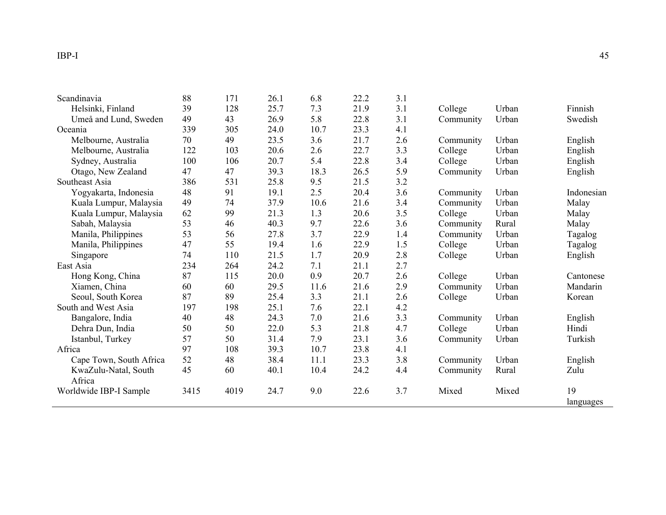| Scandinavia             | 88   | 171  | 26.1 | 6.8  | 22.2 | 3.1 |           |       |            |
|-------------------------|------|------|------|------|------|-----|-----------|-------|------------|
| Helsinki, Finland       | 39   | 128  | 25.7 | 7.3  | 21.9 | 3.1 | College   | Urban | Finnish    |
| Umeå and Lund, Sweden   | 49   | 43   | 26.9 | 5.8  | 22.8 | 3.1 | Community | Urban | Swedish    |
| Oceania                 | 339  | 305  | 24.0 | 10.7 | 23.3 | 4.1 |           |       |            |
| Melbourne, Australia    | 70   | 49   | 23.5 | 3.6  | 21.7 | 2.6 | Community | Urban | English    |
| Melbourne, Australia    | 122  | 103  | 20.6 | 2.6  | 22.7 | 3.3 | College   | Urban | English    |
| Sydney, Australia       | 100  | 106  | 20.7 | 5.4  | 22.8 | 3.4 | College   | Urban | English    |
| Otago, New Zealand      | 47   | 47   | 39.3 | 18.3 | 26.5 | 5.9 | Community | Urban | English    |
| Southeast Asia          | 386  | 531  | 25.8 | 9.5  | 21.5 | 3.2 |           |       |            |
| Yogyakarta, Indonesia   | 48   | 91   | 19.1 | 2.5  | 20.4 | 3.6 | Community | Urban | Indonesian |
| Kuala Lumpur, Malaysia  | 49   | 74   | 37.9 | 10.6 | 21.6 | 3.4 | Community | Urban | Malay      |
| Kuala Lumpur, Malaysia  | 62   | 99   | 21.3 | 1.3  | 20.6 | 3.5 | College   | Urban | Malay      |
| Sabah, Malaysia         | 53   | 46   | 40.3 | 9.7  | 22.6 | 3.6 | Community | Rural | Malay      |
| Manila, Philippines     | 53   | 56   | 27.8 | 3.7  | 22.9 | 1.4 | Community | Urban | Tagalog    |
| Manila, Philippines     | 47   | 55   | 19.4 | 1.6  | 22.9 | 1.5 | College   | Urban | Tagalog    |
| Singapore               | 74   | 110  | 21.5 | 1.7  | 20.9 | 2.8 | College   | Urban | English    |
| East Asia               | 234  | 264  | 24.2 | 7.1  | 21.1 | 2.7 |           |       |            |
| Hong Kong, China        | 87   | 115  | 20.0 | 0.9  | 20.7 | 2.6 | College   | Urban | Cantonese  |
| Xiamen, China           | 60   | 60   | 29.5 | 11.6 | 21.6 | 2.9 | Community | Urban | Mandarin   |
| Seoul, South Korea      | 87   | 89   | 25.4 | 3.3  | 21.1 | 2.6 | College   | Urban | Korean     |
| South and West Asia     | 197  | 198  | 25.1 | 7.6  | 22.1 | 4.2 |           |       |            |
| Bangalore, India        | 40   | 48   | 24.3 | 7.0  | 21.6 | 3.3 | Community | Urban | English    |
| Dehra Dun, India        | 50   | 50   | 22.0 | 5.3  | 21.8 | 4.7 | College   | Urban | Hindi      |
| Istanbul, Turkey        | 57   | 50   | 31.4 | 7.9  | 23.1 | 3.6 | Community | Urban | Turkish    |
| Africa                  | 97   | 108  | 39.3 | 10.7 | 23.8 | 4.1 |           |       |            |
| Cape Town, South Africa | 52   | 48   | 38.4 | 11.1 | 23.3 | 3.8 | Community | Urban | English    |
| KwaZulu-Natal, South    | 45   | 60   | 40.1 | 10.4 | 24.2 | 4.4 | Community | Rural | Zulu       |
| Africa                  |      |      |      |      |      |     |           |       |            |
| Worldwide IBP-I Sample  | 3415 | 4019 | 24.7 | 9.0  | 22.6 | 3.7 | Mixed     | Mixed | 19         |
|                         |      |      |      |      |      |     |           |       | languages  |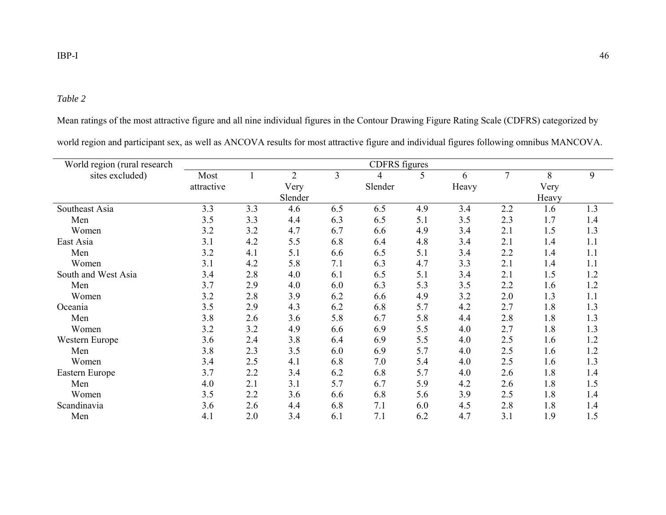#### *Table 2*

Mean ratings of the most attractive figure and all nine individual figures in the Contour Drawing Figure Rating Scale (CDFRS) categorized by

| World region (rural research |            |     |                |                | <b>CDFRS</b> figures |     |       |                |       |     |
|------------------------------|------------|-----|----------------|----------------|----------------------|-----|-------|----------------|-------|-----|
| sites excluded)              | Most       |     | $\overline{2}$ | $\overline{3}$ | 4                    | 5   | 6     | $\overline{7}$ | 8     | 9   |
|                              | attractive |     | Very           |                | Slender              |     | Heavy |                | Very  |     |
|                              |            |     | Slender        |                |                      |     |       |                | Heavy |     |
| Southeast Asia               | 3.3        | 3.3 | 4.6            | 6.5            | 6.5                  | 4.9 | 3.4   | 2.2            | 1.6   | 1.3 |
| Men                          | 3.5        | 3.3 | 4.4            | 6.3            | 6.5                  | 5.1 | 3.5   | 2.3            | 1.7   | 1.4 |
| Women                        | 3.2        | 3.2 | 4.7            | 6.7            | 6.6                  | 4.9 | 3.4   | 2.1            | 1.5   | 1.3 |
| East Asia                    | 3.1        | 4.2 | 5.5            | 6.8            | 6.4                  | 4.8 | 3.4   | 2.1            | 1.4   | 1.1 |
| Men                          | 3.2        | 4.1 | 5.1            | 6.6            | 6.5                  | 5.1 | 3.4   | 2.2            | 1.4   | 1.1 |
| Women                        | 3.1        | 4.2 | 5.8            | 7.1            | 6.3                  | 4.7 | 3.3   | 2.1            | 1.4   | 1.1 |
| South and West Asia          | 3.4        | 2.8 | 4.0            | 6.1            | 6.5                  | 5.1 | 3.4   | 2.1            | 1.5   | 1.2 |
| Men                          | 3.7        | 2.9 | 4.0            | 6.0            | 6.3                  | 5.3 | 3.5   | 2.2            | 1.6   | 1.2 |
| Women                        | 3.2        | 2.8 | 3.9            | 6.2            | 6.6                  | 4.9 | 3.2   | 2.0            | 1.3   | 1.1 |
| Oceania                      | 3.5        | 2.9 | 4.3            | 6.2            | 6.8                  | 5.7 | 4.2   | 2.7            | 1.8   | 1.3 |
| Men                          | 3.8        | 2.6 | 3.6            | 5.8            | 6.7                  | 5.8 | 4.4   | 2.8            | 1.8   | 1.3 |
| Women                        | 3.2        | 3.2 | 4.9            | 6.6            | 6.9                  | 5.5 | 4.0   | 2.7            | 1.8   | 1.3 |
| Western Europe               | 3.6        | 2.4 | 3.8            | 6.4            | 6.9                  | 5.5 | 4.0   | 2.5            | 1.6   | 1.2 |
| Men                          | 3.8        | 2.3 | 3.5            | 6.0            | 6.9                  | 5.7 | 4.0   | 2.5            | 1.6   | 1.2 |
| Women                        | 3.4        | 2.5 | 4.1            | 6.8            | 7.0                  | 5.4 | 4.0   | 2.5            | 1.6   | 1.3 |
| Eastern Europe               | 3.7        | 2.2 | 3.4            | 6.2            | 6.8                  | 5.7 | 4.0   | 2.6            | 1.8   | 1.4 |
| Men                          | 4.0        | 2.1 | 3.1            | 5.7            | 6.7                  | 5.9 | 4.2   | 2.6            | 1.8   | 1.5 |
| Women                        | 3.5        | 2.2 | 3.6            | 6.6            | 6.8                  | 5.6 | 3.9   | 2.5            | 1.8   | 1.4 |
| Scandinavia                  | 3.6        | 2.6 | 4.4            | 6.8            | 7.1                  | 6.0 | 4.5   | 2.8            | 1.8   | 1.4 |
| Men                          | 4.1        | 2.0 | 3.4            | 6.1            | 7.1                  | 6.2 | 4.7   | 3.1            | 1.9   | 1.5 |

world region and participant sex, as well as ANCOVA results for most attractive figure and individual figures following omnibus MANCOVA.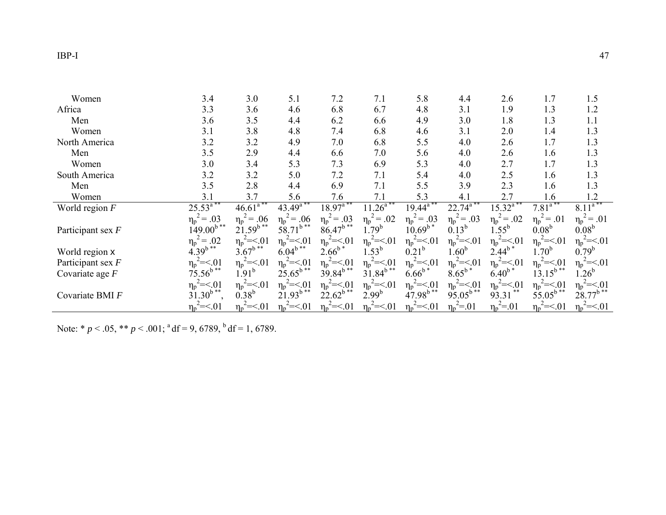| Women               | 3.4                 | 3.0                         | 5.1                     | 7.2               | 7.1                        | 5.8                           | 4.4                    | 2.6                         | 1.7               | 1.5                     |
|---------------------|---------------------|-----------------------------|-------------------------|-------------------|----------------------------|-------------------------------|------------------------|-----------------------------|-------------------|-------------------------|
| Africa              | 3.3                 | 3.6                         | 4.6                     | 6.8               | 6.7                        | 4.8                           | 3.1                    | 1.9                         | 1.3               | 1.2                     |
| Men                 | 3.6                 | 3.5                         | 4.4                     | 6.2               | 6.6                        | 4.9                           | 3.0                    | 1.8                         | 1.3               | 1.1                     |
| Women               | 3.1                 | 3.8                         | 4.8                     | 7.4               | 6.8                        | 4.6                           | 3.1                    | 2.0                         | 1.4               | 1.3                     |
| North America       | 3.2                 | 3.2                         | 4.9                     | 7.0               | 6.8                        | 5.5                           | 4.0                    | 2.6                         | 1.7               | 1.3                     |
| Men                 | 3.5                 | 2.9                         | 4.4                     | 6.6               | 7.0                        | 5.6                           | 4.0                    | 2.6                         | 1.6               | 1.3                     |
| Women               | 3.0                 | 3.4                         | 5.3                     | 7.3               | 6.9                        | 5.3                           | 4.0                    | 2.7                         | 1.7               | 1.3                     |
| South America       | 3.2                 | 3.2                         | 5.0                     | 7.2               | 7.1                        | 5.4                           | 4.0                    | 2.5                         | 1.6               | 1.3                     |
| Men                 | 3.5                 | 2.8                         | 4.4                     | 6.9               | 7.1                        | 5.5                           | 3.9                    | 2.3                         | 1.6               | 1.3                     |
| Women               | 3.1                 | 3.7                         | 5.6                     | 7.6               | 7.1                        | 5.3                           | 4.1                    | 2.7                         | 1.6               | 1.2                     |
| World region $F$    | $25.53^{a**}$       | $46.61^{\overline{a^{**}}}$ | $43.49^{\mathrm{a}}$    | $18.97^{\circ}$   | $11.26$ <sup>a**</sup>     | $19.44^{\overline{a}^{**}}$   | $22.74$ <sup>a**</sup> | $15.32^{\overline{a}^{**}}$ | $7.81^{\circ}$    | $8.11^{a**}$            |
|                     | $\eta_{p}^2 = .03$  | $\eta_p^2 = .06$            | $\eta_p^2 = .06$        | $\eta_p^2 = .03$  | $\eta_p^2 = .02$           | $\eta_p^2 = .03$              | $\eta_p^2 = .03$       | $\eta_p^2 = .02$            | $\eta_p^2 = .01$  | $\eta_{\rm p}^2 = .01$  |
| Participant sex $F$ | $149.00^{b**}$      | $21.59^{b**}$               | $58.71^{b**}$           | $86.47^{b**}$     | $1.79^{b}$                 | $10.69^{b*}$                  | $0.13^{b}$             | $1.55^{b}$                  | $0.08^{b}$        | 0.08 <sup>b</sup>       |
|                     | .02<br>$\eta_p^2 =$ | $\eta_p^2 = 0.01$           | $\eta_p^2 = 0.01$       | $\eta_p^2 = 0.01$ | $\eta_p^2 = 01$            | $\eta_{\rm p}^2 = 0.01$       | $\eta_p^2 = 01$        | $\eta_p^2 = 0.01$           | $\eta_p^2 = 0.01$ | $\eta_p^2 = 01$         |
| World region x      | $4.39^{b**}$        | $3.67^{b}$                  | $6.04^{b**}$            | $2.66^{b*}$       | $1.53^b$                   | 0.21 <sup>b</sup>             | 1.60 <sup>b</sup>      | $2.44^{b}$                  | $1.70^b$          | $0.79^b$                |
| Participant sex $F$ | $\eta_p^2 = 01$     | $\eta_{\rm p}^2 = 0.01$     | $\eta_p^2 = 0.01$       | $\eta_p^2 = 0.01$ | $\eta_{p}^{\prime} = < 01$ | $\eta_{\rm p}^{\rm 2} = 0.01$ | $\eta_p^2 = 01$        | $\eta_p^2 = 01$             | $\eta_p^2 = 01$   | $\eta_{\rm p}^2 = 0.01$ |
| Covariate age $F$   | $75.56^{b**}$       | 1.91 <sup>b</sup>           | $25.65^{b**}$           | $39.84^{b**}$     | $31.84^{b**}$              | $6.66^{b*}$                   | $8.65^{b*}$            | $6.40^{b*}$                 | $13.15^{b**}$     | $1.26^{b}$              |
|                     | $\eta_p^2 = 0.01$   | $\eta_{\rm p}^2 = 0.01$     | $\eta_{\rm p}^2 = 0.01$ | $\eta_p^2 = 0.01$ | $\eta_p^2 = 01$            | $\eta_{\rm p}^2 = 0.01$       | $\eta_p^2 = 0.01$      | $\eta_p^2 = 0.01$           | $\eta_p^2 = 0.01$ | $\eta_{\rm p}^2 = 0.01$ |
| Covariate BMI F     | $31.30^{b**}$       | $0.38^{b}$                  | $21.93^{b**}$           | $22.62^{b}$ **    | $2.99^{b}$                 | $47.98^{b**}$                 | $95.05^{b**}$          | 93.31                       | $55.05^{b**}$     | $28.77^{b**}$           |
|                     | $n_p^2 = 01$        | $\eta_p^2 = 01$             | $\eta_p^2 = 01$         | $\eta_p^2 = 01$   | $\eta_p^2 = 01$            | $\eta_p^2 = 01$               | $\eta_p^2 = 01$        | $\eta_{\rm p}^2 = 01$       | $n_p^2 = 01$      | $\eta_p^2 = 01$         |

Note: \* *p* < .05, \*\* *p* < .001; <sup>a</sup> df = 9, 6789, <sup>b</sup> df = 1, 6789.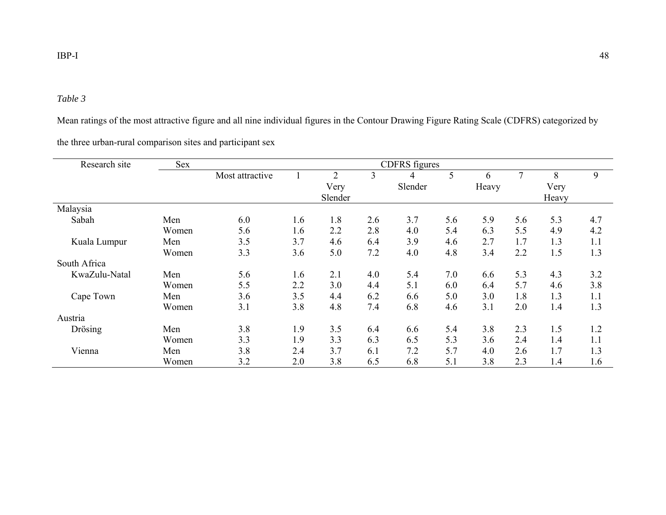## *Table 3*

Mean ratings of the most attractive figure and all nine individual figures in the Contour Drawing Figure Rating Scale (CDFRS) categorized by

the three urban-rural comparison sites and participant sex

| Research site | <b>Sex</b> |                 | <b>CDFRS</b> figures |                |     |         |     |       |        |       |     |
|---------------|------------|-----------------|----------------------|----------------|-----|---------|-----|-------|--------|-------|-----|
|               |            | Most attractive |                      | $\overline{2}$ | 3   | 4       | 5   | 6     | $\tau$ | 8     | 9   |
|               |            |                 |                      | Very           |     | Slender |     | Heavy |        | Very  |     |
|               |            |                 |                      | Slender        |     |         |     |       |        | Heavy |     |
| Malaysia      |            |                 |                      |                |     |         |     |       |        |       |     |
| Sabah         | Men        | 6.0             | 1.6                  | 1.8            | 2.6 | 3.7     | 5.6 | 5.9   | 5.6    | 5.3   | 4.7 |
|               | Women      | 5.6             | 1.6                  | 2.2            | 2.8 | 4.0     | 5.4 | 6.3   | 5.5    | 4.9   | 4.2 |
| Kuala Lumpur  | Men        | 3.5             | 3.7                  | 4.6            | 6.4 | 3.9     | 4.6 | 2.7   | 1.7    | 1.3   | 1.1 |
|               | Women      | 3.3             | 3.6                  | 5.0            | 7.2 | 4.0     | 4.8 | 3.4   | 2.2    | 1.5   | 1.3 |
| South Africa  |            |                 |                      |                |     |         |     |       |        |       |     |
| KwaZulu-Natal | Men        | 5.6             | 1.6                  | 2.1            | 4.0 | 5.4     | 7.0 | 6.6   | 5.3    | 4.3   | 3.2 |
|               | Women      | 5.5             | 2.2                  | 3.0            | 4.4 | 5.1     | 6.0 | 6.4   | 5.7    | 4.6   | 3.8 |
| Cape Town     | Men        | 3.6             | 3.5                  | 4.4            | 6.2 | 6.6     | 5.0 | 3.0   | 1.8    | 1.3   | 1.1 |
|               | Women      | 3.1             | 3.8                  | 4.8            | 7.4 | 6.8     | 4.6 | 3.1   | 2.0    | 1.4   | 1.3 |
| Austria       |            |                 |                      |                |     |         |     |       |        |       |     |
| Drösing       | Men        | 3.8             | 1.9                  | 3.5            | 6.4 | 6.6     | 5.4 | 3.8   | 2.3    | 1.5   | 1.2 |
|               | Women      | 3.3             | 1.9                  | 3.3            | 6.3 | 6.5     | 5.3 | 3.6   | 2.4    | 1.4   | 1.1 |
| Vienna        | Men        | 3.8             | 2.4                  | 3.7            | 6.1 | 7.2     | 5.7 | 4.0   | 2.6    | 1.7   | 1.3 |
|               | Women      | 3.2             | 2.0                  | 3.8            | 6.5 | 6.8     | 5.1 | 3.8   | 2.3    | 1.4   | 1.6 |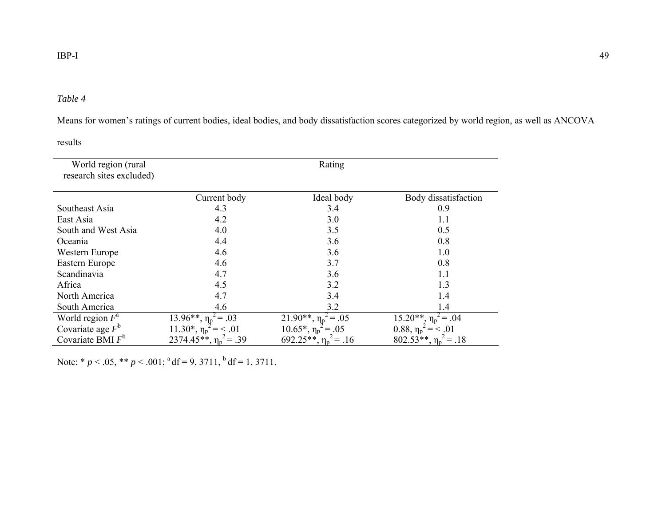#### *Table 4*

Means for women's ratings of current bodies, ideal bodies, and body dissatisfaction scores categorized by world region, as well as ANCOVA

results

| World region (rural<br>research sites excluded) |                                | Rating                           |                               |
|-------------------------------------------------|--------------------------------|----------------------------------|-------------------------------|
|                                                 | Current body                   | Ideal body                       | Body dissatisfaction          |
| Southeast Asia                                  | 4.3                            | 3.4                              | 0.9                           |
| East Asia                                       | 4.2                            | 3.0                              | 1.1                           |
| South and West Asia                             | 4.0                            | 3.5                              | 0.5                           |
| Oceania                                         | 4.4                            | 3.6                              | 0.8                           |
| Western Europe                                  | 4.6                            | 3.6                              | 1.0                           |
| Eastern Europe                                  | 4.6                            | 3.7                              | 0.8                           |
| Scandinavia                                     | 4.7                            | 3.6                              | 1.1                           |
| Africa                                          | 4.5                            | 3.2                              | 1.3                           |
| North America                                   | 4.7                            | 3.4                              | 1.4                           |
| South America                                   | 4.6                            | 3.2                              | 1.4                           |
| World region $F^a$                              | 13.96**, $\eta_p^2 = .03$      | 21.90**, $\eta_p^2 = .05$        | $15.20**$ , $\eta_p^2 = .04$  |
| Covariate age $F^b$                             | $11.30^*$ , $\eta_p^2$ = < .01 | $10.65^*$ , $\eta_p^2$<br>$=.05$ | $0.88, \eta_p^2 = 0.01$       |
| Covariate BMI $F^b$                             | 2374.45**, $\eta_p^2 = .39$    | 692.25**, $\eta_p^2$ = .16       | $802.53**$ , $\eta_p^2 = .18$ |

Note: \* *p* < .05, \*\* *p* < .001; <sup>a</sup> df = 9, 3711, <sup>b</sup> df = 1, 3711.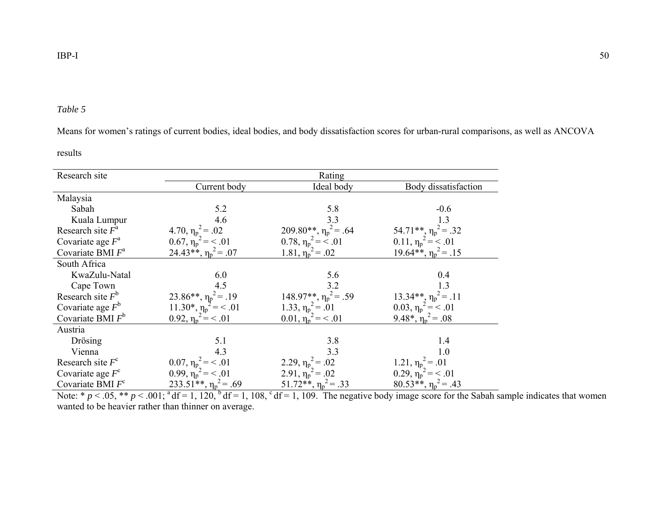Means for women's ratings of current bodies, ideal bodies, and body dissatisfaction scores for urban-rural comparisons, as well as ANCOVA

results

| Research site       |                                                                                     | Rating                                                       |                                                      |
|---------------------|-------------------------------------------------------------------------------------|--------------------------------------------------------------|------------------------------------------------------|
|                     | Current body                                                                        | Ideal body                                                   | Body dissatisfaction                                 |
| Malaysia            |                                                                                     |                                                              |                                                      |
| Sabah               | 5.2                                                                                 | 5.8                                                          | $-0.6$                                               |
| Kuala Lumpur        | 4.6                                                                                 | 3.3                                                          | 1.3                                                  |
| Research site $F^a$ |                                                                                     | 209.80**, $\eta_p^2$ = .64                                   | 54.71**, $\eta_p^2 = .32$                            |
| Covariate age $F^a$ | 4.70, $\eta_p^2 = .02$<br>0.67, $\eta_p^2 = \langle .01 \rangle$                    |                                                              | $0.11, \eta_p^2 = 0.01$                              |
| Covariate BMI $F^a$ | $24.43**$ , $\eta_p^2 = .07$                                                        | 0.78, $\eta_p^2 = \frac{3}{2}$ .01<br>1.81, $\eta_p^2 = .02$ | $19.64**$ , $\eta_p^2 = .15$                         |
| South Africa        |                                                                                     |                                                              |                                                      |
| KwaZulu-Natal       | 6.0                                                                                 | 5.6                                                          | 0.4                                                  |
| Cape Town           | 4.5                                                                                 | 3.2                                                          | 1.3                                                  |
| Research site $F^b$ |                                                                                     | $148.97**$ , $\eta_p^2 = .59$                                | $13.34**$ , $\eta_p^2 = .11$                         |
| Covariate age $F^b$ |                                                                                     |                                                              | 0.03, $\eta_p^2 = \leq .01$                          |
| Covariate BMI $F^b$ | 23.86**, $\eta_p^2 = .19$<br>11.30*, $\eta_p^2 = < .01$<br>0.92, $\eta_p^2 = < .01$ | 1.33, $\eta_p^2 = .01$<br>0.01, $\eta_p^2 = < .01$           | $9.48^*$ , $\eta_p^2 = .08$                          |
| Austria             |                                                                                     |                                                              |                                                      |
| Drösing             | 5.1                                                                                 | 3.8                                                          | 1.4                                                  |
| Vienna              | 4.3                                                                                 | 3.3                                                          | 1.0                                                  |
| Research site $F^c$ |                                                                                     |                                                              |                                                      |
| Covariate age $F^c$ | 0.07, $\eta_p^2 = \langle .01$<br>0.99, $\eta_p^2 = \langle .01$                    | 2.29, $\eta_p^2 = .02$<br>2.91, $\eta_p^2 = .02$             | 1.21, $\eta_p^2 = .01$<br>0.29, $\eta_p^2 = \le .01$ |
| Covariate BMI $F^c$ | 233.51 <sup>**</sup> , $\eta_p^2$ = .69                                             | $51.72**$ , $\eta_p^2 = .33$                                 | $80.53**$ , $\eta_p^2 = .43$                         |

Note:  $* p < .05$ ,  $** p < .001$ ;  $d = 1$ ,  $120$ ,  $d = 1$ ,  $108$ ,  $d = 1$ ,  $109$ . The negative body image score for the Sabah sample indicates that women wanted to be heavier rather than thinner on average.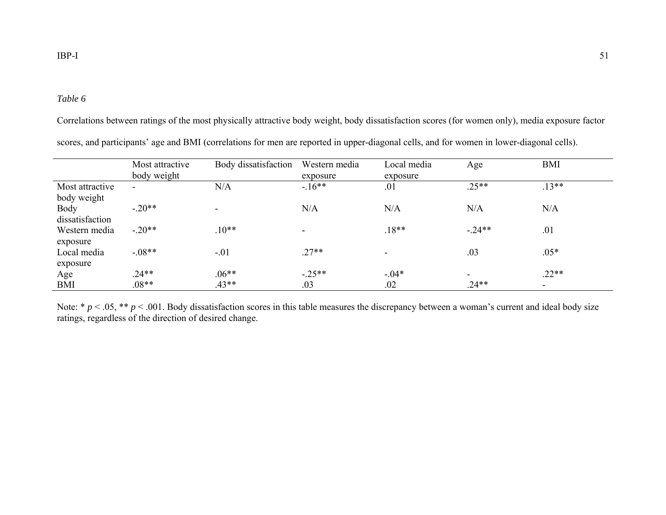#### *Table 6*

Correlations between ratings of the most physically attractive body weight, body dissatisfaction scores (for women only), media exposure factor

|                 | Most attractive<br>body weight | Body dissatisfaction | Western media<br>exposure | Local media<br>exposure  | Age                      | <b>BMI</b>     |  |
|-----------------|--------------------------------|----------------------|---------------------------|--------------------------|--------------------------|----------------|--|
| Most attractive | $\blacksquare$                 | N/A                  | $-16**$                   | .01                      | $.25**$                  | $.13**$        |  |
| body weight     |                                |                      |                           |                          |                          |                |  |
| <b>Body</b>     | $-.20**$                       |                      | N/A                       | N/A                      | N/A                      | N/A            |  |
| dissatisfaction |                                |                      |                           |                          |                          |                |  |
| Western media   | $-.20**$                       | $.10**$              |                           | $.18**$                  | $-.24**$                 | .01            |  |
| exposure        |                                |                      |                           |                          |                          |                |  |
| Local media     | $-.08**$                       | $-.01$               | $.27**$                   | $\overline{\phantom{0}}$ | .03                      | $.05*$         |  |
| exposure        |                                |                      |                           |                          |                          |                |  |
| Age             | $.24**$                        | $.06**$              | $-.25**$                  | $-.04*$                  | $\overline{\phantom{0}}$ | $.22**$        |  |
| <b>BMI</b>      | $.08**$                        | $.43**$              | .03                       | .02                      | $.24**$                  | $\blacksquare$ |  |

scores, and participants' age and BMI (correlations for men are reported in upper-diagonal cells, and for women in lower-diagonal cells).

Note:  $* p < .05$ ,  $** p < .001$ . Body dissatisfaction scores in this table measures the discrepancy between a woman's current and ideal body size ratings, regardless of the direction of desired change.